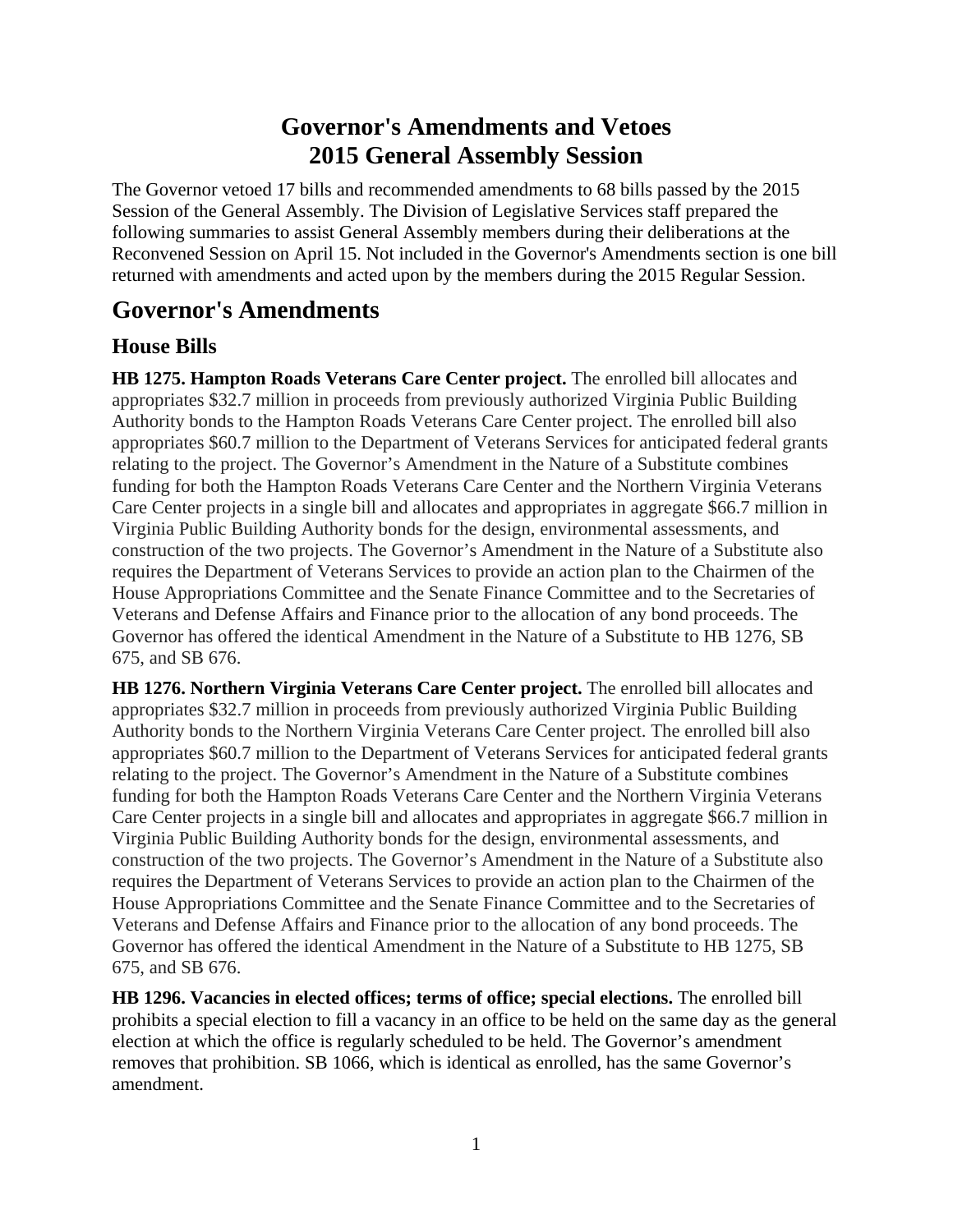# **Governor's Amendments and Vetoes 2015 General Assembly Session**

The Governor vetoed 17 bills and recommended amendments to 68 bills passed by the 2015 Session of the General Assembly. The Division of Legislative Services staff prepared the following summaries to assist General Assembly members during their deliberations at the Reconvened Session on April 15. Not included in the Governor's Amendments section is one bill returned with amendments and acted upon by the members during the 2015 Regular Session.

# **Governor's Amendments**

## **House Bills**

**HB 1275. Hampton Roads Veterans Care Center project.** The enrolled bill allocates and appropriates \$32.7 million in proceeds from previously authorized Virginia Public Building Authority bonds to the Hampton Roads Veterans Care Center project. The enrolled bill also appropriates \$60.7 million to the Department of Veterans Services for anticipated federal grants relating to the project. The Governor's Amendment in the Nature of a Substitute combines funding for both the Hampton Roads Veterans Care Center and the Northern Virginia Veterans Care Center projects in a single bill and allocates and appropriates in aggregate \$66.7 million in Virginia Public Building Authority bonds for the design, environmental assessments, and construction of the two projects. The Governor's Amendment in the Nature of a Substitute also requires the Department of Veterans Services to provide an action plan to the Chairmen of the House Appropriations Committee and the Senate Finance Committee and to the Secretaries of Veterans and Defense Affairs and Finance prior to the allocation of any bond proceeds. The Governor has offered the identical Amendment in the Nature of a Substitute to HB 1276, SB 675, and SB 676.

**HB 1276. Northern Virginia Veterans Care Center project.** The enrolled bill allocates and appropriates \$32.7 million in proceeds from previously authorized Virginia Public Building Authority bonds to the Northern Virginia Veterans Care Center project. The enrolled bill also appropriates \$60.7 million to the Department of Veterans Services for anticipated federal grants relating to the project. The Governor's Amendment in the Nature of a Substitute combines funding for both the Hampton Roads Veterans Care Center and the Northern Virginia Veterans Care Center projects in a single bill and allocates and appropriates in aggregate \$66.7 million in Virginia Public Building Authority bonds for the design, environmental assessments, and construction of the two projects. The Governor's Amendment in the Nature of a Substitute also requires the Department of Veterans Services to provide an action plan to the Chairmen of the House Appropriations Committee and the Senate Finance Committee and to the Secretaries of Veterans and Defense Affairs and Finance prior to the allocation of any bond proceeds. The Governor has offered the identical Amendment in the Nature of a Substitute to HB 1275, SB 675, and SB 676.

**HB 1296. Vacancies in elected offices; terms of office; special elections.** The enrolled bill prohibits a special election to fill a vacancy in an office to be held on the same day as the general election at which the office is regularly scheduled to be held. The Governor's amendment removes that prohibition. SB 1066, which is identical as enrolled, has the same Governor's amendment.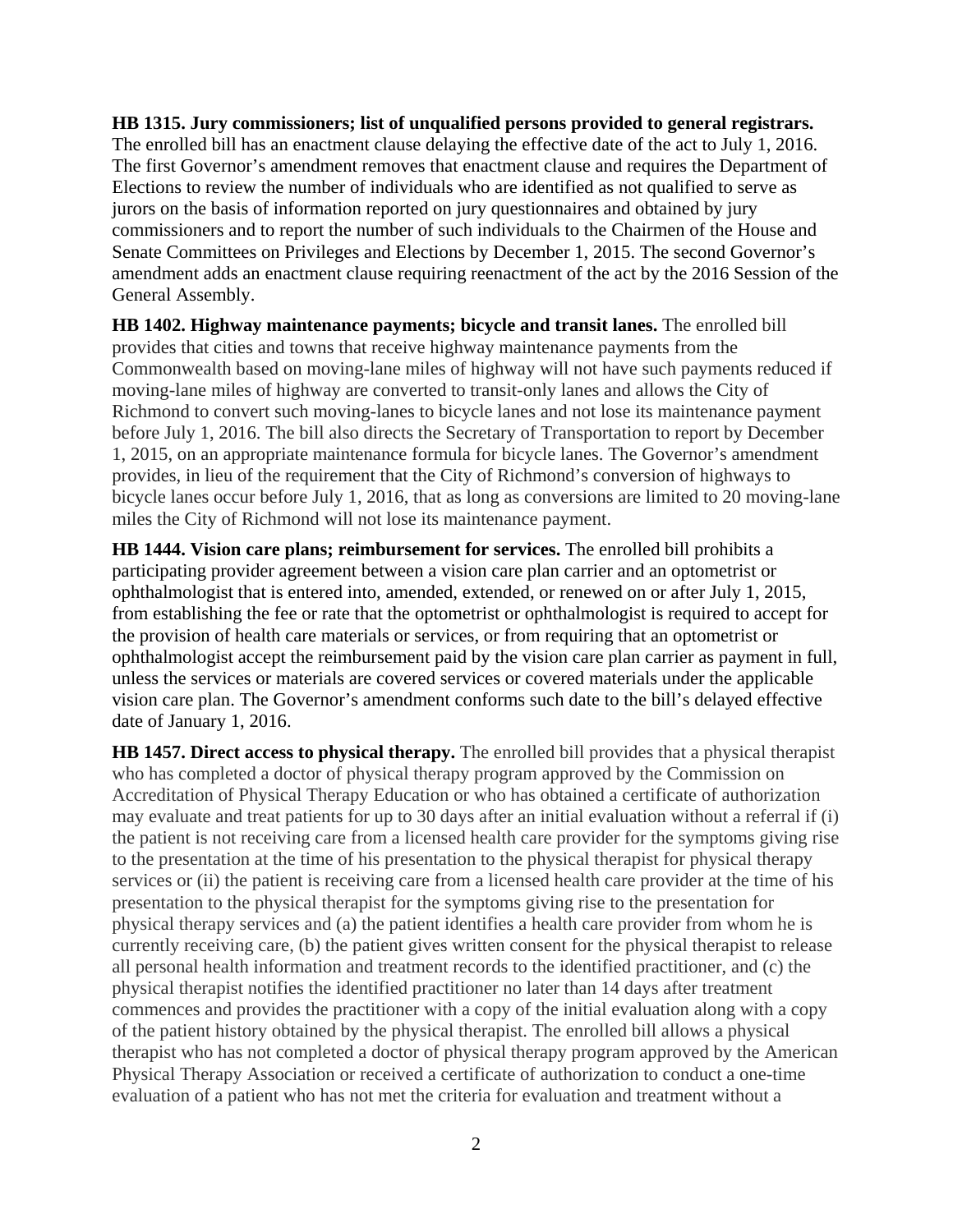**HB 1315. Jury commissioners; list of unqualified persons provided to general registrars.** The enrolled bill has an enactment clause delaying the effective date of the act to July 1, 2016. The first Governor's amendment removes that enactment clause and requires the Department of Elections to review the number of individuals who are identified as not qualified to serve as jurors on the basis of information reported on jury questionnaires and obtained by jury commissioners and to report the number of such individuals to the Chairmen of the House and Senate Committees on Privileges and Elections by December 1, 2015. The second Governor's amendment adds an enactment clause requiring reenactment of the act by the 2016 Session of the General Assembly.

**HB 1402. Highway maintenance payments; bicycle and transit lanes.** The enrolled bill provides that cities and towns that receive highway maintenance payments from the Commonwealth based on moving-lane miles of highway will not have such payments reduced if moving-lane miles of highway are converted to transit-only lanes and allows the City of Richmond to convert such moving-lanes to bicycle lanes and not lose its maintenance payment before July 1, 2016. The bill also directs the Secretary of Transportation to report by December 1, 2015, on an appropriate maintenance formula for bicycle lanes. The Governor's amendment provides, in lieu of the requirement that the City of Richmond's conversion of highways to bicycle lanes occur before July 1, 2016, that as long as conversions are limited to 20 moving-lane miles the City of Richmond will not lose its maintenance payment.

**HB 1444. Vision care plans; reimbursement for services.** The enrolled bill prohibits a participating provider agreement between a vision care plan carrier and an optometrist or ophthalmologist that is entered into, amended, extended, or renewed on or after July 1, 2015, from establishing the fee or rate that the optometrist or ophthalmologist is required to accept for the provision of health care materials or services, or from requiring that an optometrist or ophthalmologist accept the reimbursement paid by the vision care plan carrier as payment in full, unless the services or materials are covered services or covered materials under the applicable vision care plan. The Governor's amendment conforms such date to the bill's delayed effective date of January 1, 2016.

**HB 1457. Direct access to physical therapy.** The enrolled bill provides that a physical therapist who has completed a doctor of physical therapy program approved by the Commission on Accreditation of Physical Therapy Education or who has obtained a certificate of authorization may evaluate and treat patients for up to 30 days after an initial evaluation without a referral if (i) the patient is not receiving care from a licensed health care provider for the symptoms giving rise to the presentation at the time of his presentation to the physical therapist for physical therapy services or (ii) the patient is receiving care from a licensed health care provider at the time of his presentation to the physical therapist for the symptoms giving rise to the presentation for physical therapy services and (a) the patient identifies a health care provider from whom he is currently receiving care, (b) the patient gives written consent for the physical therapist to release all personal health information and treatment records to the identified practitioner, and (c) the physical therapist notifies the identified practitioner no later than 14 days after treatment commences and provides the practitioner with a copy of the initial evaluation along with a copy of the patient history obtained by the physical therapist. The enrolled bill allows a physical therapist who has not completed a doctor of physical therapy program approved by the American Physical Therapy Association or received a certificate of authorization to conduct a one-time evaluation of a patient who has not met the criteria for evaluation and treatment without a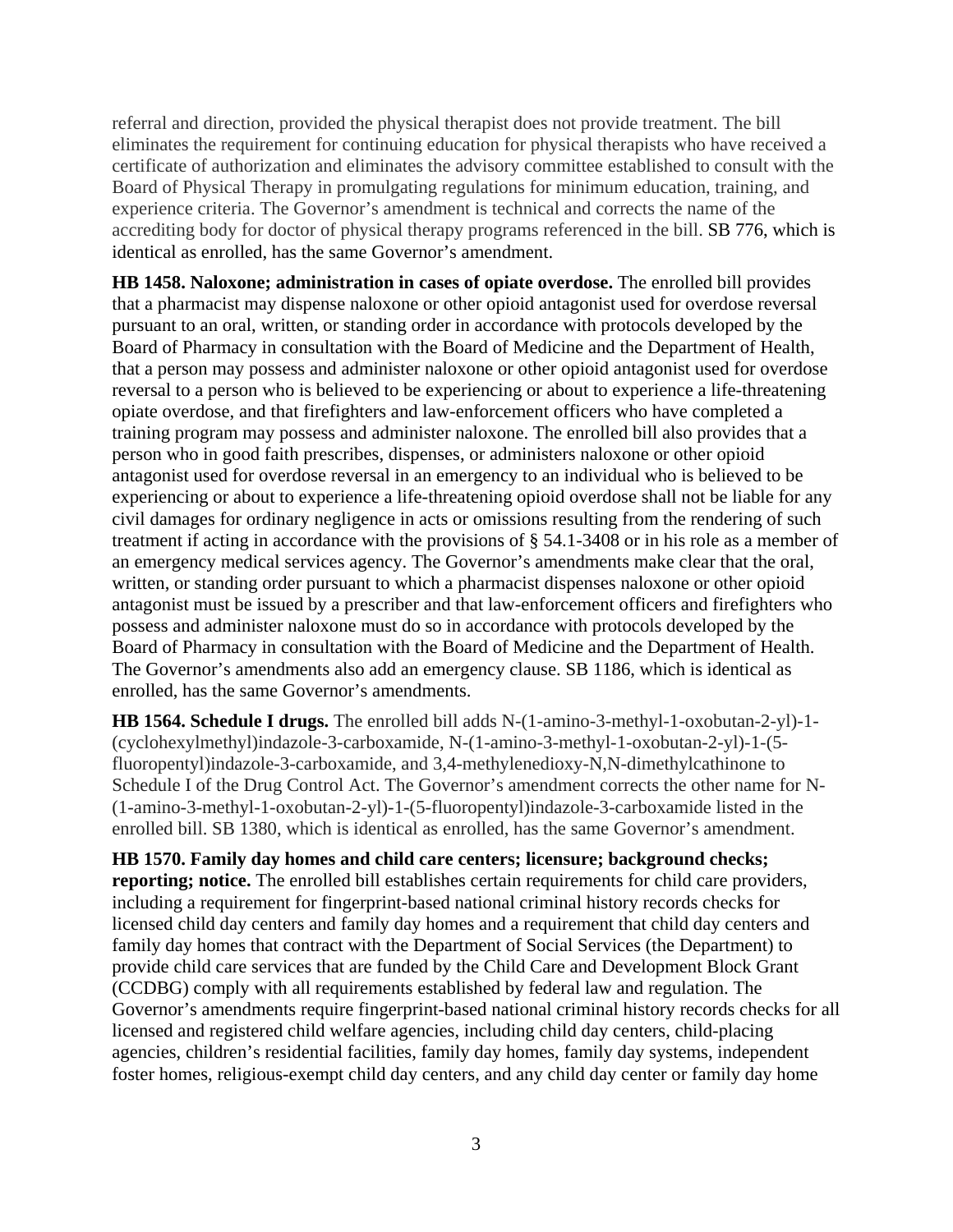referral and direction, provided the physical therapist does not provide treatment. The bill eliminates the requirement for continuing education for physical therapists who have received a certificate of authorization and eliminates the advisory committee established to consult with the Board of Physical Therapy in promulgating regulations for minimum education, training, and experience criteria. The Governor's amendment is technical and corrects the name of the accrediting body for doctor of physical therapy programs referenced in the bill. SB 776, which is identical as enrolled, has the same Governor's amendment.

**HB 1458. Naloxone; administration in cases of opiate overdose.** The enrolled bill provides that a pharmacist may dispense naloxone or other opioid antagonist used for overdose reversal pursuant to an oral, written, or standing order in accordance with protocols developed by the Board of Pharmacy in consultation with the Board of Medicine and the Department of Health, that a person may possess and administer naloxone or other opioid antagonist used for overdose reversal to a person who is believed to be experiencing or about to experience a life-threatening opiate overdose, and that firefighters and law-enforcement officers who have completed a training program may possess and administer naloxone. The enrolled bill also provides that a person who in good faith prescribes, dispenses, or administers naloxone or other opioid antagonist used for overdose reversal in an emergency to an individual who is believed to be experiencing or about to experience a life-threatening opioid overdose shall not be liable for any civil damages for ordinary negligence in acts or omissions resulting from the rendering of such treatment if acting in accordance with the provisions of § 54.1-3408 or in his role as a member of an emergency medical services agency. The Governor's amendments make clear that the oral, written, or standing order pursuant to which a pharmacist dispenses naloxone or other opioid antagonist must be issued by a prescriber and that law-enforcement officers and firefighters who possess and administer naloxone must do so in accordance with protocols developed by the Board of Pharmacy in consultation with the Board of Medicine and the Department of Health. The Governor's amendments also add an emergency clause. SB 1186, which is identical as enrolled, has the same Governor's amendments.

**HB 1564. Schedule I drugs.** The enrolled bill adds N-(1-amino-3-methyl-1-oxobutan-2-yl)-1- (cyclohexylmethyl)indazole-3-carboxamide, N-(1-amino-3-methyl-1-oxobutan-2-yl)-1-(5 fluoropentyl)indazole-3-carboxamide, and 3,4-methylenedioxy-N,N-dimethylcathinone to Schedule I of the Drug Control Act. The Governor's amendment corrects the other name for N- (1-amino-3-methyl-1-oxobutan-2-yl)-1-(5-fluoropentyl)indazole-3-carboxamide listed in the enrolled bill. SB 1380, which is identical as enrolled, has the same Governor's amendment.

**HB 1570. Family day homes and child care centers; licensure; background checks; reporting; notice.** The enrolled bill establishes certain requirements for child care providers, including a requirement for fingerprint-based national criminal history records checks for licensed child day centers and family day homes and a requirement that child day centers and family day homes that contract with the Department of Social Services (the Department) to provide child care services that are funded by the Child Care and Development Block Grant (CCDBG) comply with all requirements established by federal law and regulation. The Governor's amendments require fingerprint-based national criminal history records checks for all licensed and registered child welfare agencies, including child day centers, child-placing agencies, children's residential facilities, family day homes, family day systems, independent foster homes, religious-exempt child day centers, and any child day center or family day home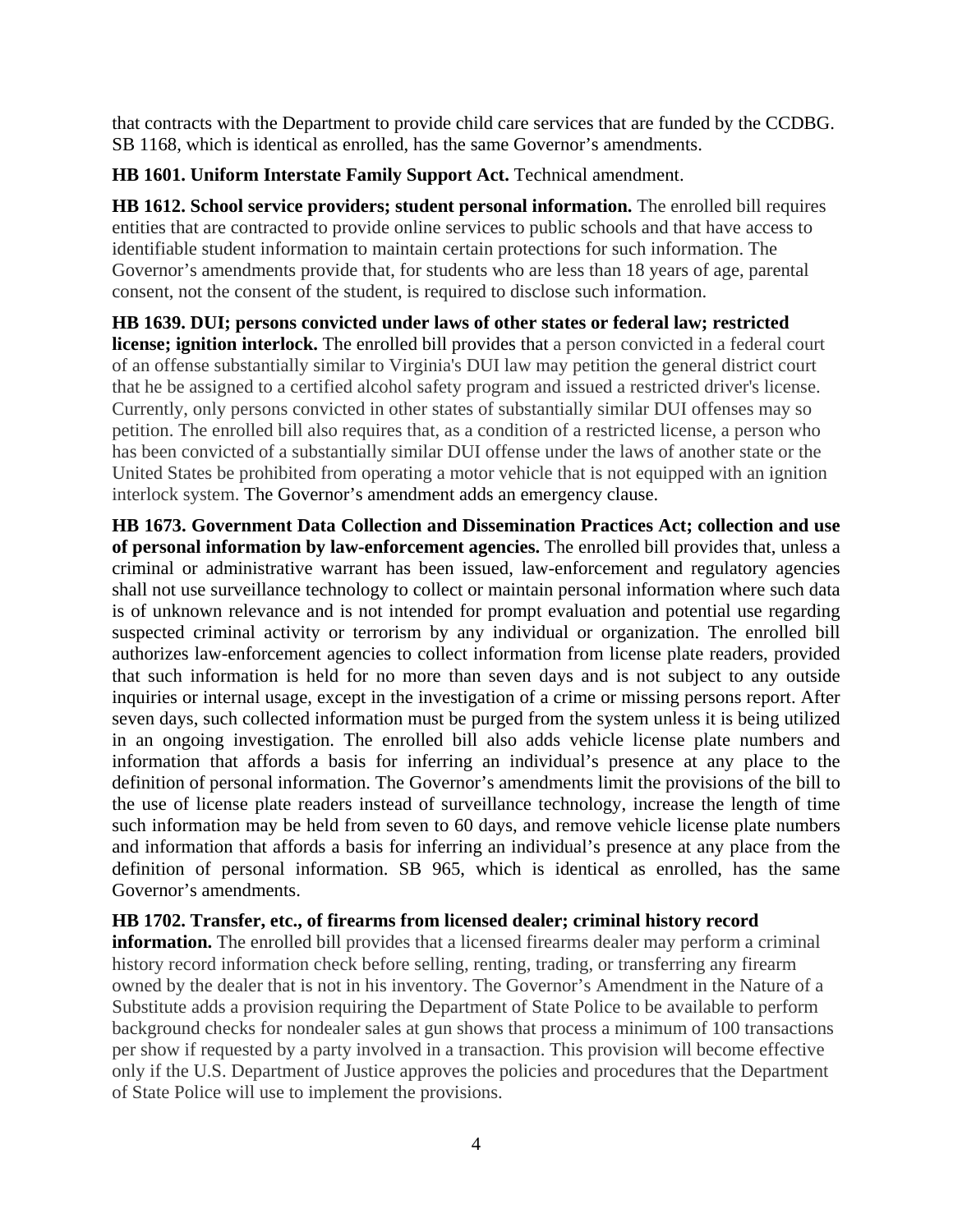that contracts with the Department to provide child care services that are funded by the CCDBG. SB 1168, which is identical as enrolled, has the same Governor's amendments.

### **HB 1601. Uniform Interstate Family Support Act.** Technical amendment.

**HB 1612. School service providers; student personal information.** The enrolled bill requires entities that are contracted to provide online services to public schools and that have access to identifiable student information to maintain certain protections for such information. The Governor's amendments provide that, for students who are less than 18 years of age, parental consent, not the consent of the student, is required to disclose such information.

**HB 1639. DUI; persons convicted under laws of other states or federal law; restricted license; ignition interlock.** The enrolled bill provides that a person convicted in a federal court of an offense substantially similar to Virginia's DUI law may petition the general district court that he be assigned to a certified alcohol safety program and issued a restricted driver's license. Currently, only persons convicted in other states of substantially similar DUI offenses may so petition. The enrolled bill also requires that, as a condition of a restricted license, a person who has been convicted of a substantially similar DUI offense under the laws of another state or the United States be prohibited from operating a motor vehicle that is not equipped with an ignition interlock system. The Governor's amendment adds an emergency clause.

**HB 1673. Government Data Collection and Dissemination Practices Act; collection and use of personal information by law-enforcement agencies.** The enrolled bill provides that, unless a criminal or administrative warrant has been issued, law-enforcement and regulatory agencies shall not use surveillance technology to collect or maintain personal information where such data is of unknown relevance and is not intended for prompt evaluation and potential use regarding suspected criminal activity or terrorism by any individual or organization. The enrolled bill authorizes law-enforcement agencies to collect information from license plate readers, provided that such information is held for no more than seven days and is not subject to any outside inquiries or internal usage, except in the investigation of a crime or missing persons report. After seven days, such collected information must be purged from the system unless it is being utilized in an ongoing investigation. The enrolled bill also adds vehicle license plate numbers and information that affords a basis for inferring an individual's presence at any place to the definition of personal information. The Governor's amendments limit the provisions of the bill to the use of license plate readers instead of surveillance technology, increase the length of time such information may be held from seven to 60 days, and remove vehicle license plate numbers and information that affords a basis for inferring an individual's presence at any place from the definition of personal information. SB 965, which is identical as enrolled, has the same Governor's amendments.

#### **HB 1702. Transfer, etc., of firearms from licensed dealer; criminal history record**

**information.** The enrolled bill provides that a licensed firearms dealer may perform a criminal history record information check before selling, renting, trading, or transferring any firearm owned by the dealer that is not in his inventory. The Governor's Amendment in the Nature of a Substitute adds a provision requiring the Department of State Police to be available to perform background checks for nondealer sales at gun shows that process a minimum of 100 transactions per show if requested by a party involved in a transaction. This provision will become effective only if the U.S. Department of Justice approves the policies and procedures that the Department of State Police will use to implement the provisions.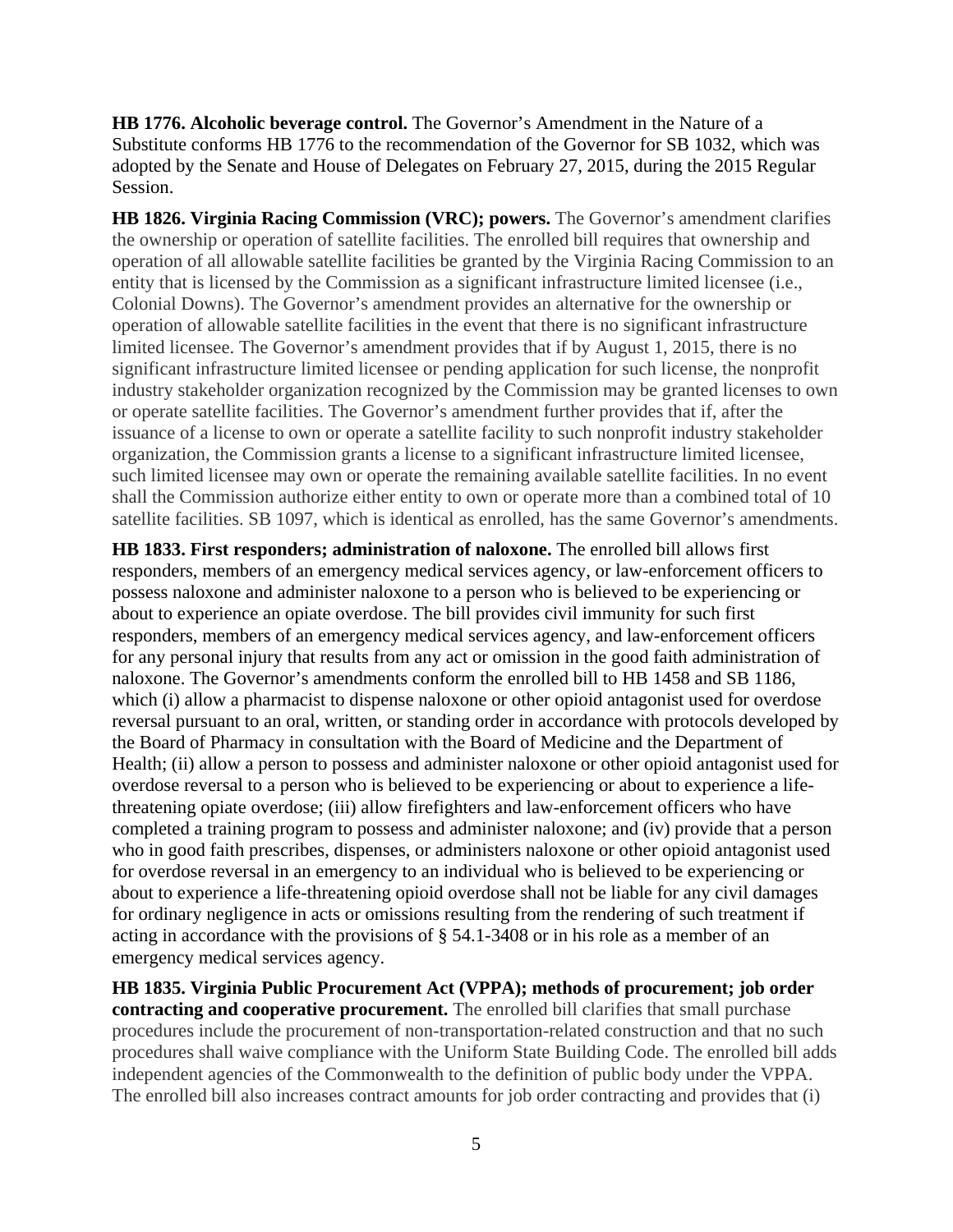**HB 1776. Alcoholic beverage control.** The Governor's Amendment in the Nature of a Substitute conforms HB 1776 to the recommendation of the Governor for SB 1032, which was adopted by the Senate and House of Delegates on February 27, 2015, during the 2015 Regular Session.

**HB 1826. Virginia Racing Commission (VRC); powers.** The Governor's amendment clarifies the ownership or operation of satellite facilities. The enrolled bill requires that ownership and operation of all allowable satellite facilities be granted by the Virginia Racing Commission to an entity that is licensed by the Commission as a significant infrastructure limited licensee (i.e., Colonial Downs). The Governor's amendment provides an alternative for the ownership or operation of allowable satellite facilities in the event that there is no significant infrastructure limited licensee. The Governor's amendment provides that if by August 1, 2015, there is no significant infrastructure limited licensee or pending application for such license, the nonprofit industry stakeholder organization recognized by the Commission may be granted licenses to own or operate satellite facilities. The Governor's amendment further provides that if, after the issuance of a license to own or operate a satellite facility to such nonprofit industry stakeholder organization, the Commission grants a license to a significant infrastructure limited licensee, such limited licensee may own or operate the remaining available satellite facilities. In no event shall the Commission authorize either entity to own or operate more than a combined total of 10 satellite facilities. SB 1097, which is identical as enrolled, has the same Governor's amendments.

**HB 1833. First responders; administration of naloxone.** The enrolled bill allows first responders, members of an emergency medical services agency, or law-enforcement officers to possess naloxone and administer naloxone to a person who is believed to be experiencing or about to experience an opiate overdose. The bill provides civil immunity for such first responders, members of an emergency medical services agency, and law-enforcement officers for any personal injury that results from any act or omission in the good faith administration of naloxone. The Governor's amendments conform the enrolled bill to HB 1458 and SB 1186, which (i) allow a pharmacist to dispense naloxone or other opioid antagonist used for overdose reversal pursuant to an oral, written, or standing order in accordance with protocols developed by the Board of Pharmacy in consultation with the Board of Medicine and the Department of Health; (ii) allow a person to possess and administer naloxone or other opioid antagonist used for overdose reversal to a person who is believed to be experiencing or about to experience a lifethreatening opiate overdose; (iii) allow firefighters and law-enforcement officers who have completed a training program to possess and administer naloxone; and (iv) provide that a person who in good faith prescribes, dispenses, or administers naloxone or other opioid antagonist used for overdose reversal in an emergency to an individual who is believed to be experiencing or about to experience a life-threatening opioid overdose shall not be liable for any civil damages for ordinary negligence in acts or omissions resulting from the rendering of such treatment if acting in accordance with the provisions of § 54.1-3408 or in his role as a member of an emergency medical services agency.

**HB 1835. Virginia Public Procurement Act (VPPA); methods of procurement; job order contracting and cooperative procurement.** The enrolled bill clarifies that small purchase procedures include the procurement of non-transportation-related construction and that no such procedures shall waive compliance with the Uniform State Building Code. The enrolled bill adds independent agencies of the Commonwealth to the definition of public body under the VPPA. The enrolled bill also increases contract amounts for job order contracting and provides that (i)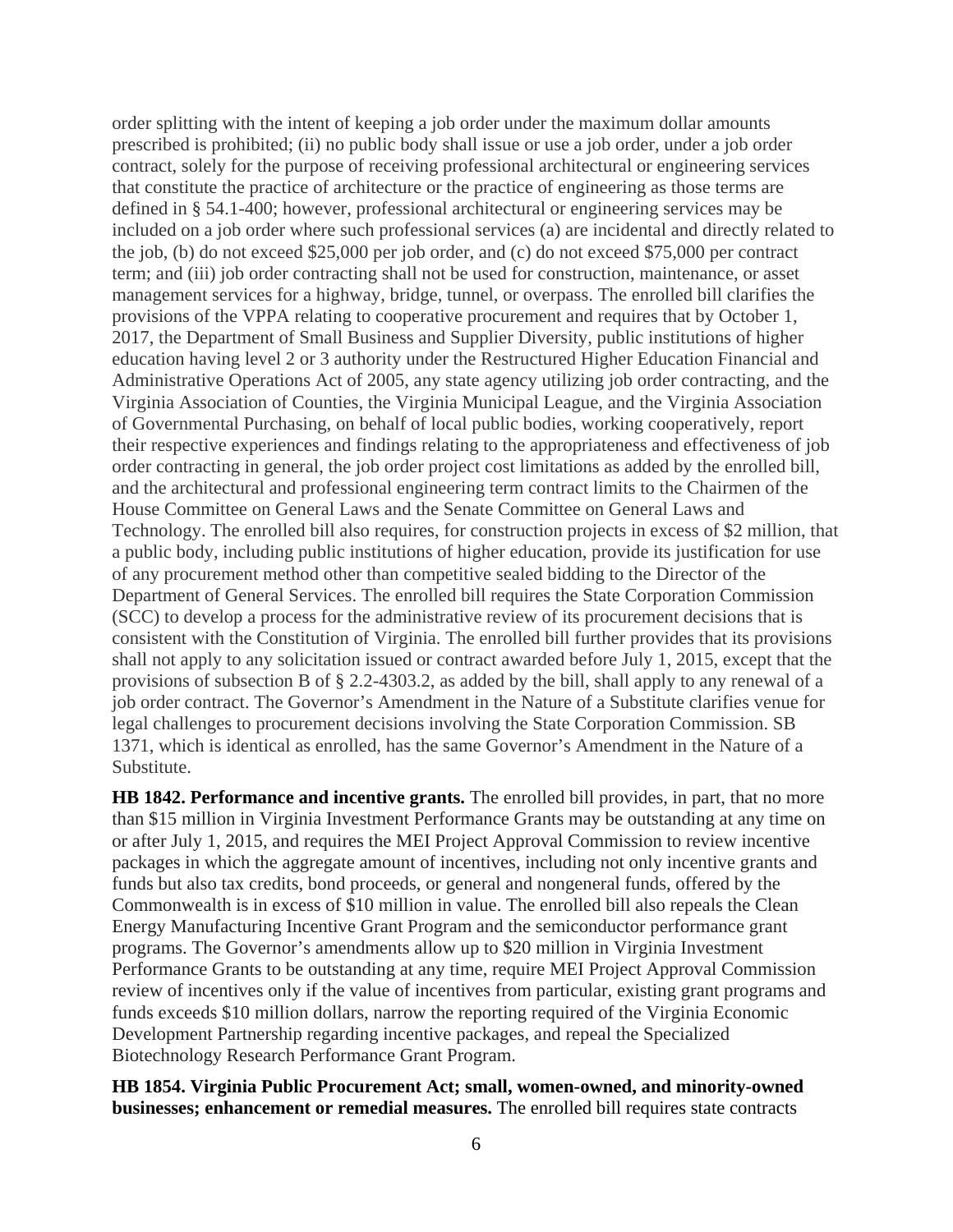order splitting with the intent of keeping a job order under the maximum dollar amounts prescribed is prohibited; (ii) no public body shall issue or use a job order, under a job order contract, solely for the purpose of receiving professional architectural or engineering services that constitute the practice of architecture or the practice of engineering as those terms are defined in § 54.1-400; however, professional architectural or engineering services may be included on a job order where such professional services (a) are incidental and directly related to the job, (b) do not exceed \$25,000 per job order, and (c) do not exceed \$75,000 per contract term; and (iii) job order contracting shall not be used for construction, maintenance, or asset management services for a highway, bridge, tunnel, or overpass. The enrolled bill clarifies the provisions of the VPPA relating to cooperative procurement and requires that by October 1, 2017, the Department of Small Business and Supplier Diversity, public institutions of higher education having level 2 or 3 authority under the Restructured Higher Education Financial and Administrative Operations Act of 2005, any state agency utilizing job order contracting, and the Virginia Association of Counties, the Virginia Municipal League, and the Virginia Association of Governmental Purchasing, on behalf of local public bodies, working cooperatively, report their respective experiences and findings relating to the appropriateness and effectiveness of job order contracting in general, the job order project cost limitations as added by the enrolled bill, and the architectural and professional engineering term contract limits to the Chairmen of the House Committee on General Laws and the Senate Committee on General Laws and Technology. The enrolled bill also requires, for construction projects in excess of \$2 million, that a public body, including public institutions of higher education, provide its justification for use of any procurement method other than competitive sealed bidding to the Director of the Department of General Services. The enrolled bill requires the State Corporation Commission (SCC) to develop a process for the administrative review of its procurement decisions that is consistent with the Constitution of Virginia. The enrolled bill further provides that its provisions shall not apply to any solicitation issued or contract awarded before July 1, 2015, except that the provisions of subsection B of § 2.2-4303.2, as added by the bill, shall apply to any renewal of a job order contract. The Governor's Amendment in the Nature of a Substitute clarifies venue for legal challenges to procurement decisions involving the State Corporation Commission. SB 1371, which is identical as enrolled, has the same Governor's Amendment in the Nature of a Substitute.

**HB 1842. Performance and incentive grants.** The enrolled bill provides, in part, that no more than \$15 million in Virginia Investment Performance Grants may be outstanding at any time on or after July 1, 2015, and requires the MEI Project Approval Commission to review incentive packages in which the aggregate amount of incentives, including not only incentive grants and funds but also tax credits, bond proceeds, or general and nongeneral funds, offered by the Commonwealth is in excess of \$10 million in value. The enrolled bill also repeals the Clean Energy Manufacturing Incentive Grant Program and the semiconductor performance grant programs. The Governor's amendments allow up to \$20 million in Virginia Investment Performance Grants to be outstanding at any time, require MEI Project Approval Commission review of incentives only if the value of incentives from particular, existing grant programs and funds exceeds \$10 million dollars, narrow the reporting required of the Virginia Economic Development Partnership regarding incentive packages, and repeal the Specialized Biotechnology Research Performance Grant Program.

**HB 1854. Virginia Public Procurement Act; small, women-owned, and minority-owned businesses; enhancement or remedial measures.** The enrolled bill requires state contracts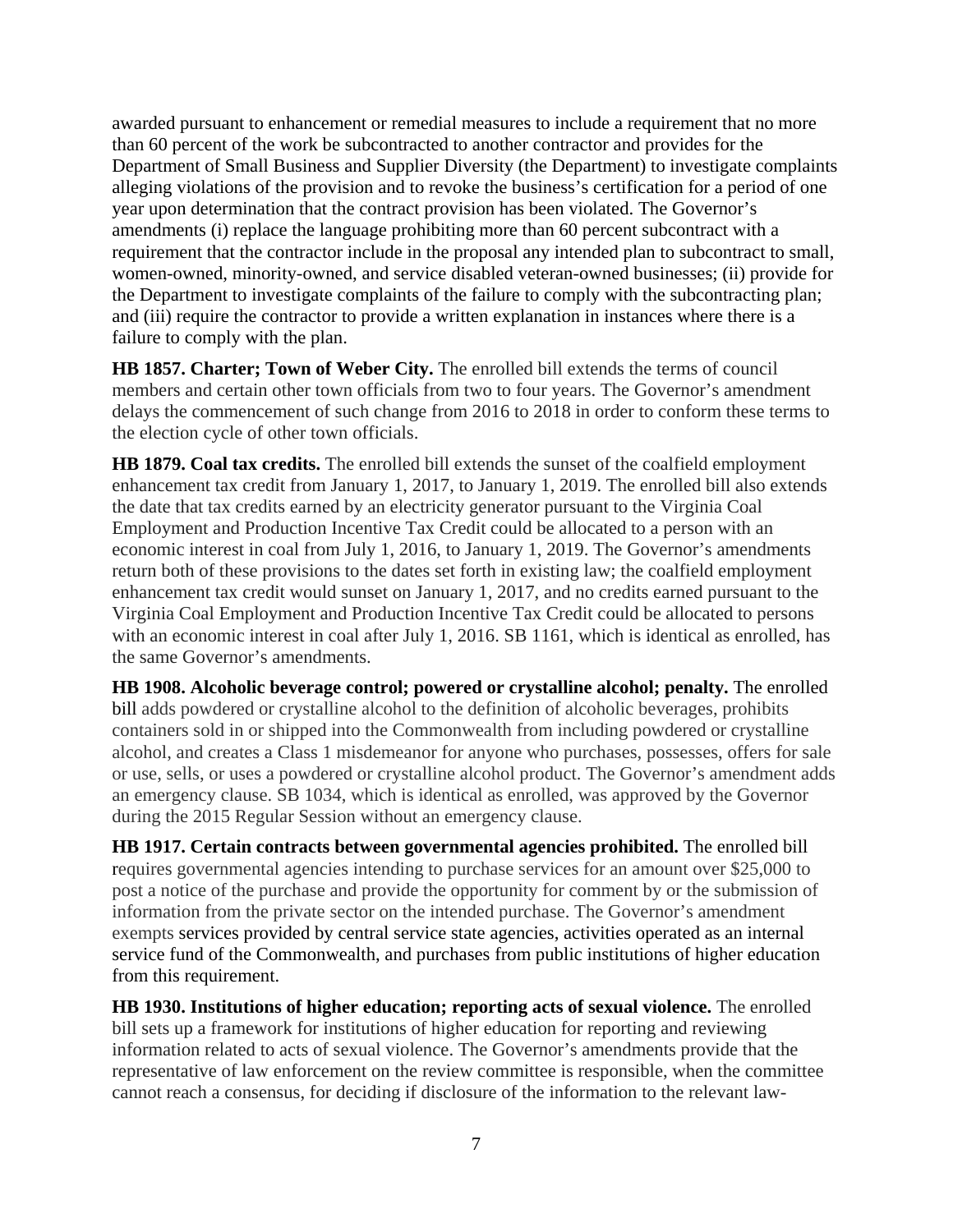awarded pursuant to enhancement or remedial measures to include a requirement that no more than 60 percent of the work be subcontracted to another contractor and provides for the Department of Small Business and Supplier Diversity (the Department) to investigate complaints alleging violations of the provision and to revoke the business's certification for a period of one year upon determination that the contract provision has been violated. The Governor's amendments (i) replace the language prohibiting more than 60 percent subcontract with a requirement that the contractor include in the proposal any intended plan to subcontract to small, women-owned, minority-owned, and service disabled veteran-owned businesses; (ii) provide for the Department to investigate complaints of the failure to comply with the subcontracting plan; and (iii) require the contractor to provide a written explanation in instances where there is a failure to comply with the plan.

**HB 1857. Charter; Town of Weber City.** The enrolled bill extends the terms of council members and certain other town officials from two to four years. The Governor's amendment delays the commencement of such change from 2016 to 2018 in order to conform these terms to the election cycle of other town officials.

**HB 1879. Coal tax credits.** The enrolled bill extends the sunset of the coalfield employment enhancement tax credit from January 1, 2017, to January 1, 2019. The enrolled bill also extends the date that tax credits earned by an electricity generator pursuant to the Virginia Coal Employment and Production Incentive Tax Credit could be allocated to a person with an economic interest in coal from July 1, 2016, to January 1, 2019. The Governor's amendments return both of these provisions to the dates set forth in existing law; the coalfield employment enhancement tax credit would sunset on January 1, 2017, and no credits earned pursuant to the Virginia Coal Employment and Production Incentive Tax Credit could be allocated to persons with an economic interest in coal after July 1, 2016. SB 1161, which is identical as enrolled, has the same Governor's amendments.

**HB 1908. Alcoholic beverage control; powered or crystalline alcohol; penalty.** The enrolled bill adds powdered or crystalline alcohol to the definition of alcoholic beverages, prohibits containers sold in or shipped into the Commonwealth from including powdered or crystalline alcohol, and creates a Class 1 misdemeanor for anyone who purchases, possesses, offers for sale or use, sells, or uses a powdered or crystalline alcohol product. The Governor's amendment adds an emergency clause. SB 1034, which is identical as enrolled, was approved by the Governor during the 2015 Regular Session without an emergency clause.

**HB 1917. Certain contracts between governmental agencies prohibited.** The enrolled bill requires governmental agencies intending to purchase services for an amount over \$25,000 to post a notice of the purchase and provide the opportunity for comment by or the submission of information from the private sector on the intended purchase. The Governor's amendment exempts services provided by central service state agencies, activities operated as an internal service fund of the Commonwealth, and purchases from public institutions of higher education from this requirement.

**HB 1930. Institutions of higher education; reporting acts of sexual violence.** The enrolled bill sets up a framework for institutions of higher education for reporting and reviewing information related to acts of sexual violence. The Governor's amendments provide that the representative of law enforcement on the review committee is responsible, when the committee cannot reach a consensus, for deciding if disclosure of the information to the relevant law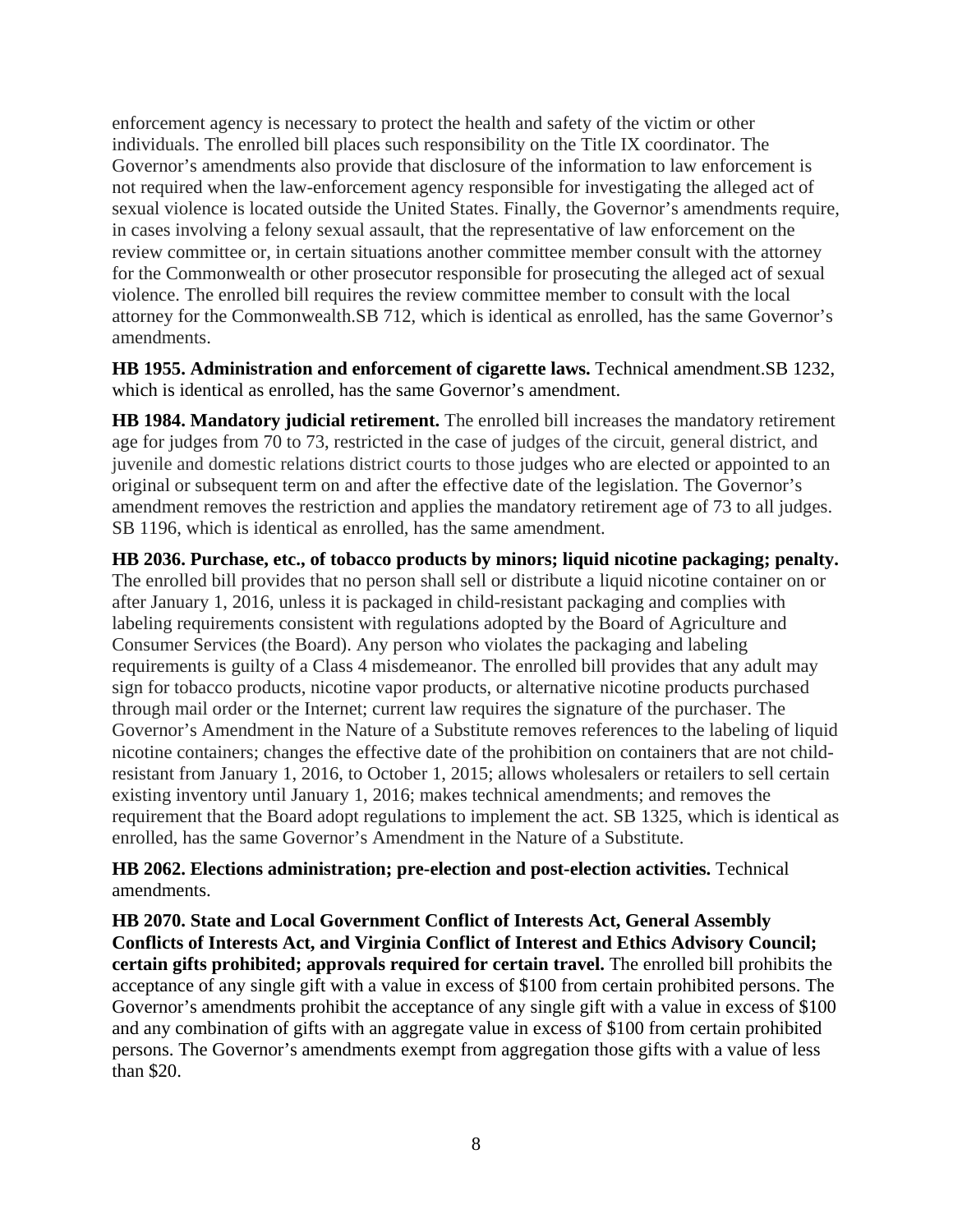enforcement agency is necessary to protect the health and safety of the victim or other individuals. The enrolled bill places such responsibility on the Title IX coordinator. The Governor's amendments also provide that disclosure of the information to law enforcement is not required when the law-enforcement agency responsible for investigating the alleged act of sexual violence is located outside the United States. Finally, the Governor's amendments require, in cases involving a felony sexual assault, that the representative of law enforcement on the review committee or, in certain situations another committee member consult with the attorney for the Commonwealth or other prosecutor responsible for prosecuting the alleged act of sexual violence. The enrolled bill requires the review committee member to consult with the local attorney for the Commonwealth.SB 712, which is identical as enrolled, has the same Governor's amendments.

**HB 1955. Administration and enforcement of cigarette laws.** Technical amendment.SB 1232, which is identical as enrolled, has the same Governor's amendment.

**HB 1984. Mandatory judicial retirement.** The enrolled bill increases the mandatory retirement age for judges from 70 to 73, restricted in the case of judges of the circuit, general district, and juvenile and domestic relations district courts to those judges who are elected or appointed to an original or subsequent term on and after the effective date of the legislation. The Governor's amendment removes the restriction and applies the mandatory retirement age of 73 to all judges. SB 1196, which is identical as enrolled, has the same amendment.

**HB 2036. Purchase, etc., of tobacco products by minors; liquid nicotine packaging; penalty.** The enrolled bill provides that no person shall sell or distribute a liquid nicotine container on or after January 1, 2016, unless it is packaged in child-resistant packaging and complies with labeling requirements consistent with regulations adopted by the Board of Agriculture and Consumer Services (the Board). Any person who violates the packaging and labeling requirements is guilty of a Class 4 misdemeanor. The enrolled bill provides that any adult may sign for tobacco products, nicotine vapor products, or alternative nicotine products purchased through mail order or the Internet; current law requires the signature of the purchaser. The Governor's Amendment in the Nature of a Substitute removes references to the labeling of liquid nicotine containers; changes the effective date of the prohibition on containers that are not childresistant from January 1, 2016, to October 1, 2015; allows wholesalers or retailers to sell certain existing inventory until January 1, 2016; makes technical amendments; and removes the requirement that the Board adopt regulations to implement the act. SB 1325, which is identical as enrolled, has the same Governor's Amendment in the Nature of a Substitute.

**HB 2062. Elections administration; pre-election and post-election activities.** Technical amendments.

**HB 2070. State and Local Government Conflict of Interests Act, General Assembly Conflicts of Interests Act, and Virginia Conflict of Interest and Ethics Advisory Council; certain gifts prohibited; approvals required for certain travel.** The enrolled bill prohibits the acceptance of any single gift with a value in excess of \$100 from certain prohibited persons. The Governor's amendments prohibit the acceptance of any single gift with a value in excess of \$100 and any combination of gifts with an aggregate value in excess of \$100 from certain prohibited persons. The Governor's amendments exempt from aggregation those gifts with a value of less than \$20.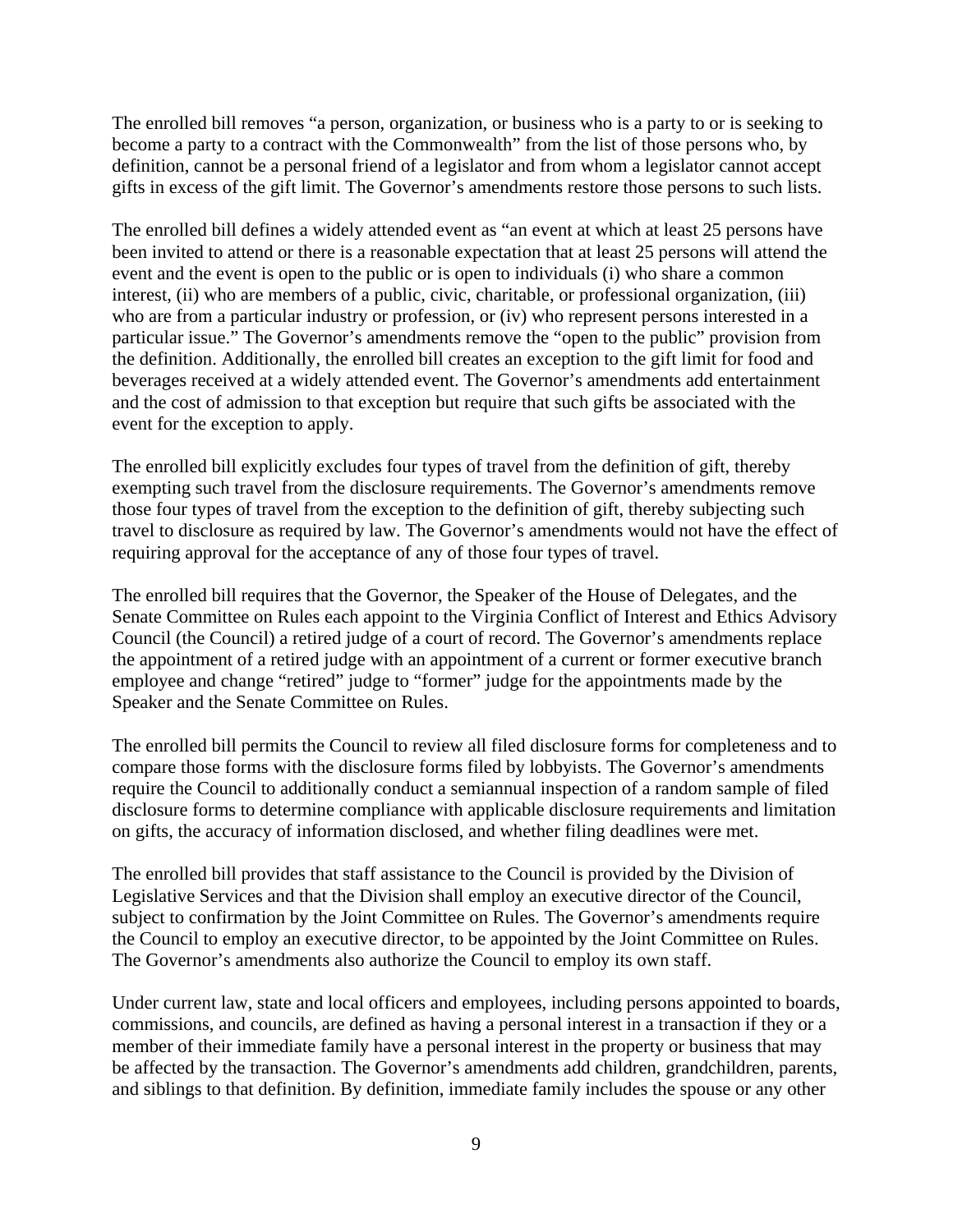The enrolled bill removes "a person, organization, or business who is a party to or is seeking to become a party to a contract with the Commonwealth" from the list of those persons who, by definition, cannot be a personal friend of a legislator and from whom a legislator cannot accept gifts in excess of the gift limit. The Governor's amendments restore those persons to such lists.

The enrolled bill defines a widely attended event as "an event at which at least 25 persons have been invited to attend or there is a reasonable expectation that at least 25 persons will attend the event and the event is open to the public or is open to individuals (i) who share a common interest, (ii) who are members of a public, civic, charitable, or professional organization, (iii) who are from a particular industry or profession, or (iv) who represent persons interested in a particular issue." The Governor's amendments remove the "open to the public" provision from the definition. Additionally, the enrolled bill creates an exception to the gift limit for food and beverages received at a widely attended event. The Governor's amendments add entertainment and the cost of admission to that exception but require that such gifts be associated with the event for the exception to apply.

The enrolled bill explicitly excludes four types of travel from the definition of gift, thereby exempting such travel from the disclosure requirements. The Governor's amendments remove those four types of travel from the exception to the definition of gift, thereby subjecting such travel to disclosure as required by law. The Governor's amendments would not have the effect of requiring approval for the acceptance of any of those four types of travel.

The enrolled bill requires that the Governor, the Speaker of the House of Delegates, and the Senate Committee on Rules each appoint to the Virginia Conflict of Interest and Ethics Advisory Council (the Council) a retired judge of a court of record. The Governor's amendments replace the appointment of a retired judge with an appointment of a current or former executive branch employee and change "retired" judge to "former" judge for the appointments made by the Speaker and the Senate Committee on Rules.

The enrolled bill permits the Council to review all filed disclosure forms for completeness and to compare those forms with the disclosure forms filed by lobbyists. The Governor's amendments require the Council to additionally conduct a semiannual inspection of a random sample of filed disclosure forms to determine compliance with applicable disclosure requirements and limitation on gifts, the accuracy of information disclosed, and whether filing deadlines were met.

The enrolled bill provides that staff assistance to the Council is provided by the Division of Legislative Services and that the Division shall employ an executive director of the Council, subject to confirmation by the Joint Committee on Rules. The Governor's amendments require the Council to employ an executive director, to be appointed by the Joint Committee on Rules. The Governor's amendments also authorize the Council to employ its own staff.

Under current law, state and local officers and employees, including persons appointed to boards, commissions, and councils, are defined as having a personal interest in a transaction if they or a member of their immediate family have a personal interest in the property or business that may be affected by the transaction. The Governor's amendments add children, grandchildren, parents, and siblings to that definition. By definition, immediate family includes the spouse or any other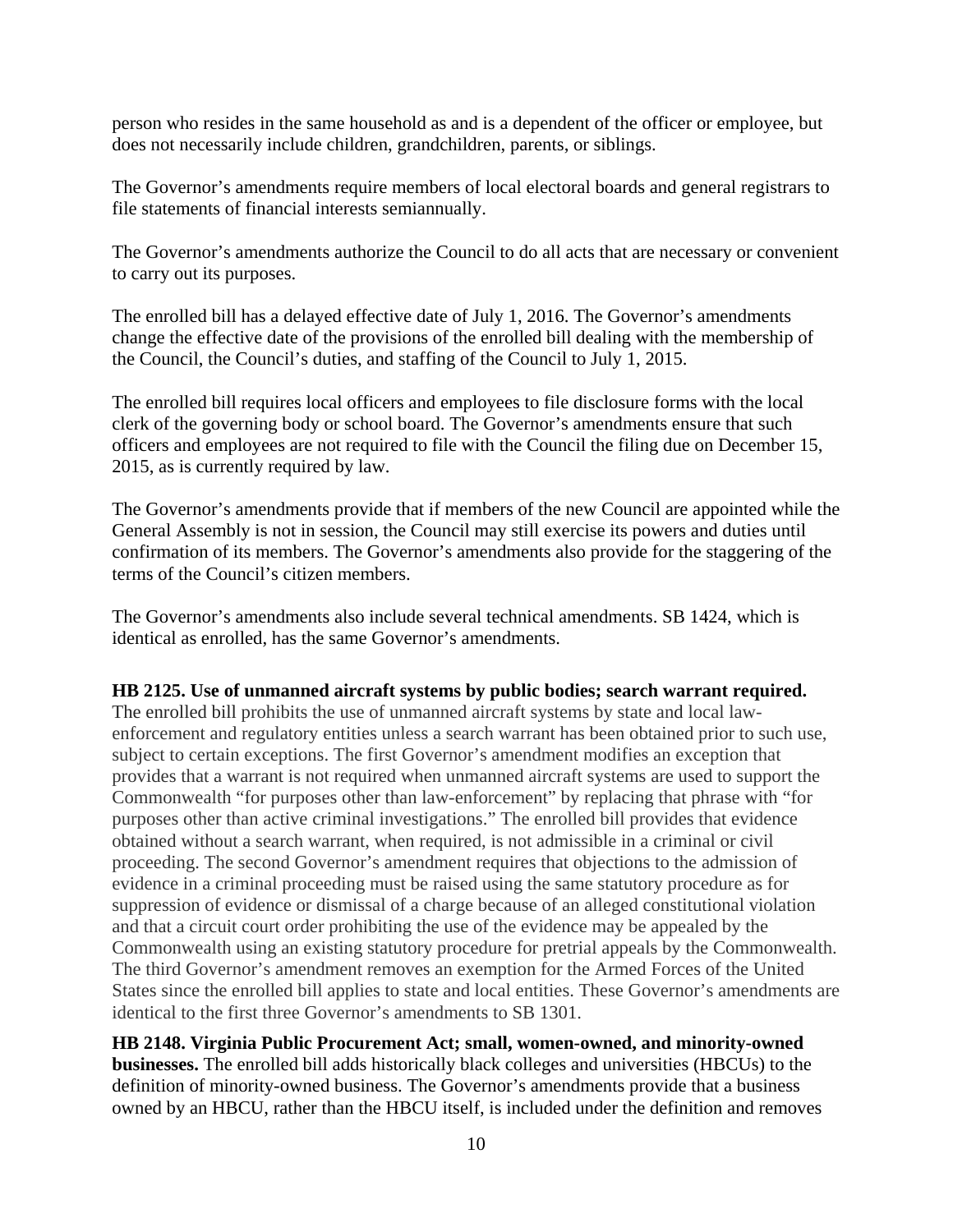person who resides in the same household as and is a dependent of the officer or employee, but does not necessarily include children, grandchildren, parents, or siblings.

The Governor's amendments require members of local electoral boards and general registrars to file statements of financial interests semiannually.

The Governor's amendments authorize the Council to do all acts that are necessary or convenient to carry out its purposes.

The enrolled bill has a delayed effective date of July 1, 2016. The Governor's amendments change the effective date of the provisions of the enrolled bill dealing with the membership of the Council, the Council's duties, and staffing of the Council to July 1, 2015.

The enrolled bill requires local officers and employees to file disclosure forms with the local clerk of the governing body or school board. The Governor's amendments ensure that such officers and employees are not required to file with the Council the filing due on December 15, 2015, as is currently required by law.

The Governor's amendments provide that if members of the new Council are appointed while the General Assembly is not in session, the Council may still exercise its powers and duties until confirmation of its members. The Governor's amendments also provide for the staggering of the terms of the Council's citizen members.

The Governor's amendments also include several technical amendments. SB 1424, which is identical as enrolled, has the same Governor's amendments.

#### **HB 2125. Use of unmanned aircraft systems by public bodies; search warrant required.**

The enrolled bill prohibits the use of unmanned aircraft systems by state and local lawenforcement and regulatory entities unless a search warrant has been obtained prior to such use, subject to certain exceptions. The first Governor's amendment modifies an exception that provides that a warrant is not required when unmanned aircraft systems are used to support the Commonwealth "for purposes other than law-enforcement" by replacing that phrase with "for purposes other than active criminal investigations." The enrolled bill provides that evidence obtained without a search warrant, when required, is not admissible in a criminal or civil proceeding. The second Governor's amendment requires that objections to the admission of evidence in a criminal proceeding must be raised using the same statutory procedure as for suppression of evidence or dismissal of a charge because of an alleged constitutional violation and that a circuit court order prohibiting the use of the evidence may be appealed by the Commonwealth using an existing statutory procedure for pretrial appeals by the Commonwealth. The third Governor's amendment removes an exemption for the Armed Forces of the United States since the enrolled bill applies to state and local entities. These Governor's amendments are identical to the first three Governor's amendments to SB 1301.

**HB 2148. Virginia Public Procurement Act; small, women-owned, and minority-owned businesses.** The enrolled bill adds historically black colleges and universities (HBCUs) to the definition of minority-owned business. The Governor's amendments provide that a business owned by an HBCU, rather than the HBCU itself, is included under the definition and removes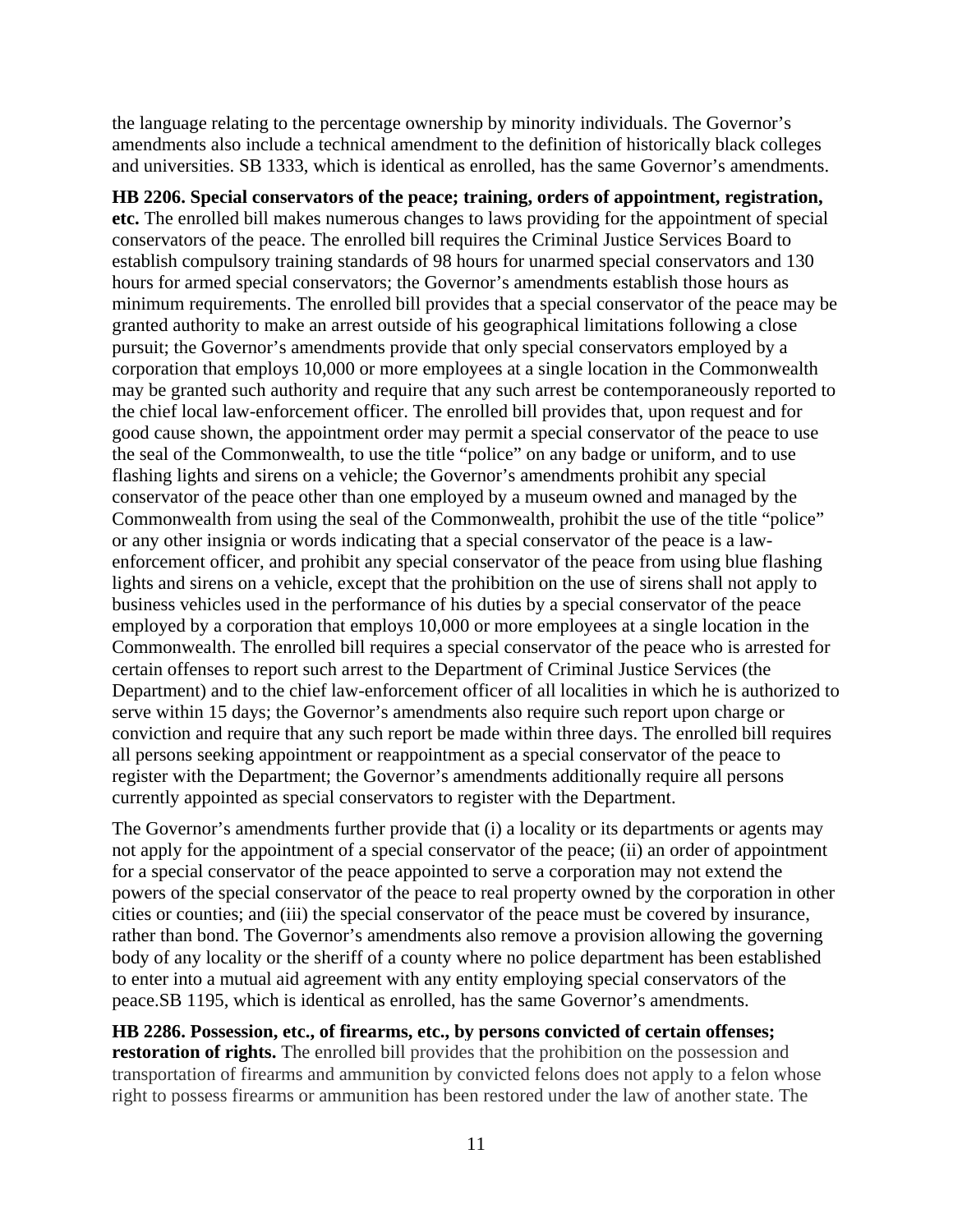the language relating to the percentage ownership by minority individuals. The Governor's amendments also include a technical amendment to the definition of historically black colleges and universities. SB 1333, which is identical as enrolled, has the same Governor's amendments.

**HB 2206. Special conservators of the peace; training, orders of appointment, registration, etc.** The enrolled bill makes numerous changes to laws providing for the appointment of special conservators of the peace. The enrolled bill requires the Criminal Justice Services Board to establish compulsory training standards of 98 hours for unarmed special conservators and 130 hours for armed special conservators; the Governor's amendments establish those hours as minimum requirements. The enrolled bill provides that a special conservator of the peace may be granted authority to make an arrest outside of his geographical limitations following a close pursuit; the Governor's amendments provide that only special conservators employed by a corporation that employs 10,000 or more employees at a single location in the Commonwealth may be granted such authority and require that any such arrest be contemporaneously reported to the chief local law-enforcement officer. The enrolled bill provides that, upon request and for good cause shown, the appointment order may permit a special conservator of the peace to use the seal of the Commonwealth, to use the title "police" on any badge or uniform, and to use flashing lights and sirens on a vehicle; the Governor's amendments prohibit any special conservator of the peace other than one employed by a museum owned and managed by the Commonwealth from using the seal of the Commonwealth, prohibit the use of the title "police" or any other insignia or words indicating that a special conservator of the peace is a lawenforcement officer, and prohibit any special conservator of the peace from using blue flashing lights and sirens on a vehicle, except that the prohibition on the use of sirens shall not apply to business vehicles used in the performance of his duties by a special conservator of the peace employed by a corporation that employs 10,000 or more employees at a single location in the Commonwealth. The enrolled bill requires a special conservator of the peace who is arrested for certain offenses to report such arrest to the Department of Criminal Justice Services (the Department) and to the chief law-enforcement officer of all localities in which he is authorized to serve within 15 days; the Governor's amendments also require such report upon charge or conviction and require that any such report be made within three days. The enrolled bill requires all persons seeking appointment or reappointment as a special conservator of the peace to register with the Department; the Governor's amendments additionally require all persons currently appointed as special conservators to register with the Department.

The Governor's amendments further provide that (i) a locality or its departments or agents may not apply for the appointment of a special conservator of the peace; (ii) an order of appointment for a special conservator of the peace appointed to serve a corporation may not extend the powers of the special conservator of the peace to real property owned by the corporation in other cities or counties; and (iii) the special conservator of the peace must be covered by insurance, rather than bond. The Governor's amendments also remove a provision allowing the governing body of any locality or the sheriff of a county where no police department has been established to enter into a mutual aid agreement with any entity employing special conservators of the peace.SB 1195, which is identical as enrolled, has the same Governor's amendments.

**HB 2286. Possession, etc., of firearms, etc., by persons convicted of certain offenses; restoration of rights.** The enrolled bill provides that the prohibition on the possession and transportation of firearms and ammunition by convicted felons does not apply to a felon whose right to possess firearms or ammunition has been restored under the law of another state. The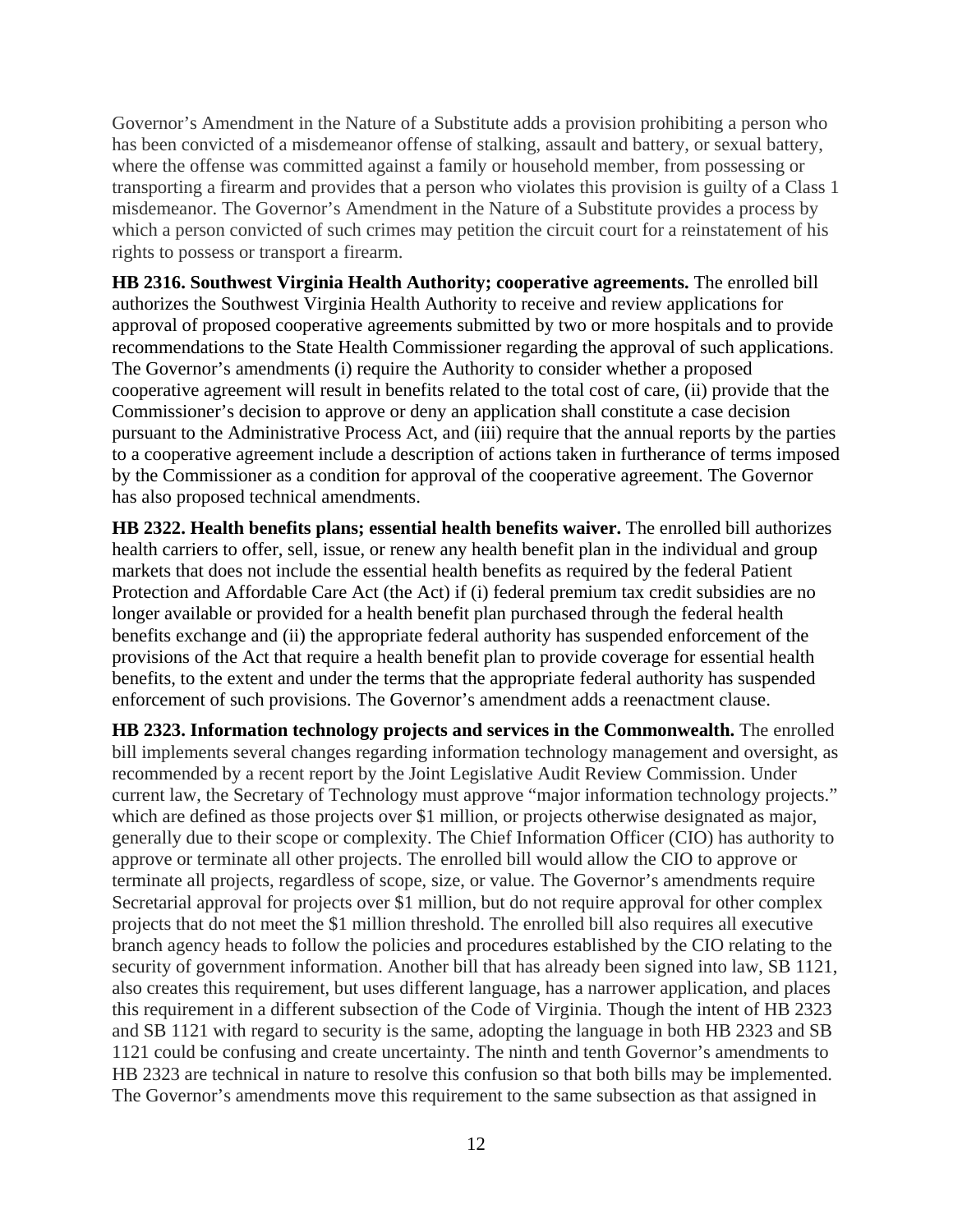Governor's Amendment in the Nature of a Substitute adds a provision prohibiting a person who has been convicted of a misdemeanor offense of stalking, assault and battery, or sexual battery, where the offense was committed against a family or household member, from possessing or transporting a firearm and provides that a person who violates this provision is guilty of a Class 1 misdemeanor. The Governor's Amendment in the Nature of a Substitute provides a process by which a person convicted of such crimes may petition the circuit court for a reinstatement of his rights to possess or transport a firearm.

**HB 2316. Southwest Virginia Health Authority; cooperative agreements.** The enrolled bill authorizes the Southwest Virginia Health Authority to receive and review applications for approval of proposed cooperative agreements submitted by two or more hospitals and to provide recommendations to the State Health Commissioner regarding the approval of such applications. The Governor's amendments (i) require the Authority to consider whether a proposed cooperative agreement will result in benefits related to the total cost of care, (ii) provide that the Commissioner's decision to approve or deny an application shall constitute a case decision pursuant to the Administrative Process Act, and (iii) require that the annual reports by the parties to a cooperative agreement include a description of actions taken in furtherance of terms imposed by the Commissioner as a condition for approval of the cooperative agreement. The Governor has also proposed technical amendments.

**HB 2322. Health benefits plans; essential health benefits waiver.** The enrolled bill authorizes health carriers to offer, sell, issue, or renew any health benefit plan in the individual and group markets that does not include the essential health benefits as required by the federal Patient Protection and Affordable Care Act (the Act) if (i) federal premium tax credit subsidies are no longer available or provided for a health benefit plan purchased through the federal health benefits exchange and (ii) the appropriate federal authority has suspended enforcement of the provisions of the Act that require a health benefit plan to provide coverage for essential health benefits, to the extent and under the terms that the appropriate federal authority has suspended enforcement of such provisions. The Governor's amendment adds a reenactment clause.

**HB 2323. Information technology projects and services in the Commonwealth.** The enrolled bill implements several changes regarding information technology management and oversight, as recommended by a recent report by the Joint Legislative Audit Review Commission. Under current law, the Secretary of Technology must approve "major information technology projects." which are defined as those projects over \$1 million, or projects otherwise designated as major, generally due to their scope or complexity. The Chief Information Officer (CIO) has authority to approve or terminate all other projects. The enrolled bill would allow the CIO to approve or terminate all projects, regardless of scope, size, or value. The Governor's amendments require Secretarial approval for projects over \$1 million, but do not require approval for other complex projects that do not meet the \$1 million threshold. The enrolled bill also requires all executive branch agency heads to follow the policies and procedures established by the CIO relating to the security of government information. Another bill that has already been signed into law, SB 1121, also creates this requirement, but uses different language, has a narrower application, and places this requirement in a different subsection of the Code of Virginia. Though the intent of HB 2323 and SB 1121 with regard to security is the same, adopting the language in both HB 2323 and SB 1121 could be confusing and create uncertainty. The ninth and tenth Governor's amendments to HB 2323 are technical in nature to resolve this confusion so that both bills may be implemented. The Governor's amendments move this requirement to the same subsection as that assigned in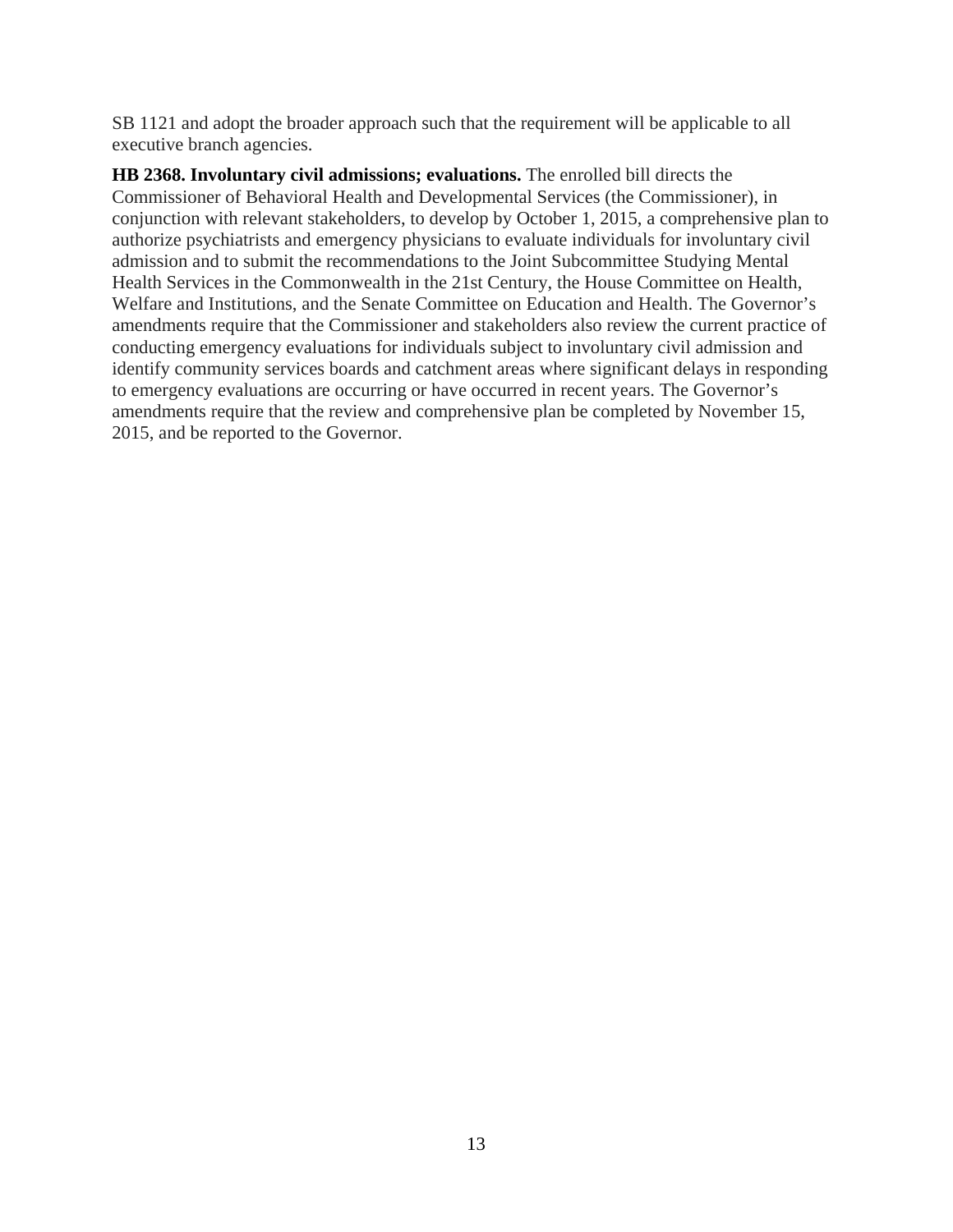SB 1121 and adopt the broader approach such that the requirement will be applicable to all executive branch agencies.

**HB 2368. Involuntary civil admissions; evaluations.** The enrolled bill directs the Commissioner of Behavioral Health and Developmental Services (the Commissioner), in conjunction with relevant stakeholders, to develop by October 1, 2015, a comprehensive plan to authorize psychiatrists and emergency physicians to evaluate individuals for involuntary civil admission and to submit the recommendations to the Joint Subcommittee Studying Mental Health Services in the Commonwealth in the 21st Century, the House Committee on Health, Welfare and Institutions, and the Senate Committee on Education and Health. The Governor's amendments require that the Commissioner and stakeholders also review the current practice of conducting emergency evaluations for individuals subject to involuntary civil admission and identify community services boards and catchment areas where significant delays in responding to emergency evaluations are occurring or have occurred in recent years. The Governor's amendments require that the review and comprehensive plan be completed by November 15, 2015, and be reported to the Governor.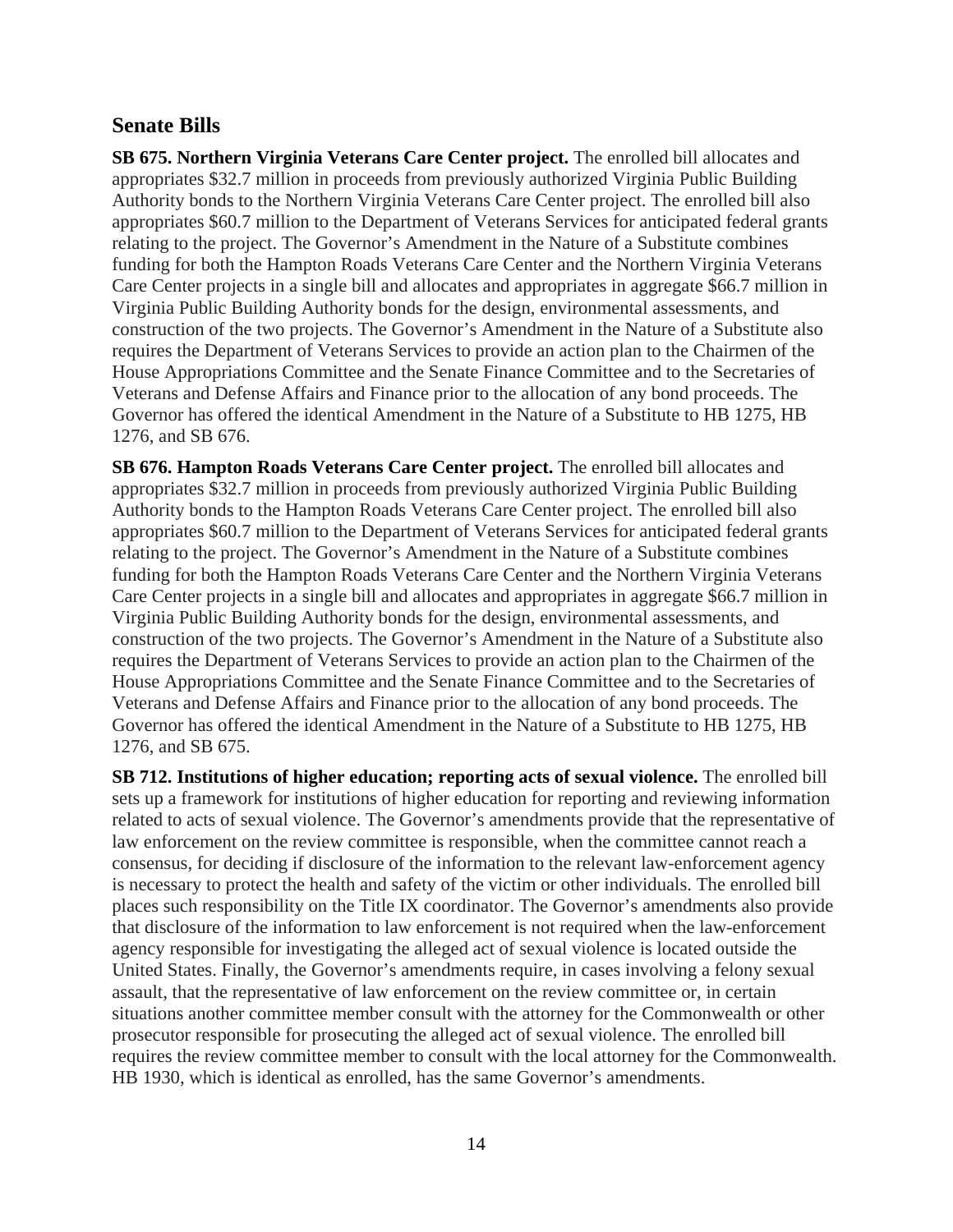## **Senate Bills**

**SB 675. Northern Virginia Veterans Care Center project.** The enrolled bill allocates and appropriates \$32.7 million in proceeds from previously authorized Virginia Public Building Authority bonds to the Northern Virginia Veterans Care Center project. The enrolled bill also appropriates \$60.7 million to the Department of Veterans Services for anticipated federal grants relating to the project. The Governor's Amendment in the Nature of a Substitute combines funding for both the Hampton Roads Veterans Care Center and the Northern Virginia Veterans Care Center projects in a single bill and allocates and appropriates in aggregate \$66.7 million in Virginia Public Building Authority bonds for the design, environmental assessments, and construction of the two projects. The Governor's Amendment in the Nature of a Substitute also requires the Department of Veterans Services to provide an action plan to the Chairmen of the House Appropriations Committee and the Senate Finance Committee and to the Secretaries of Veterans and Defense Affairs and Finance prior to the allocation of any bond proceeds. The Governor has offered the identical Amendment in the Nature of a Substitute to HB 1275, HB 1276, and SB 676.

**SB 676. Hampton Roads Veterans Care Center project.** The enrolled bill allocates and appropriates \$32.7 million in proceeds from previously authorized Virginia Public Building Authority bonds to the Hampton Roads Veterans Care Center project. The enrolled bill also appropriates \$60.7 million to the Department of Veterans Services for anticipated federal grants relating to the project. The Governor's Amendment in the Nature of a Substitute combines funding for both the Hampton Roads Veterans Care Center and the Northern Virginia Veterans Care Center projects in a single bill and allocates and appropriates in aggregate \$66.7 million in Virginia Public Building Authority bonds for the design, environmental assessments, and construction of the two projects. The Governor's Amendment in the Nature of a Substitute also requires the Department of Veterans Services to provide an action plan to the Chairmen of the House Appropriations Committee and the Senate Finance Committee and to the Secretaries of Veterans and Defense Affairs and Finance prior to the allocation of any bond proceeds. The Governor has offered the identical Amendment in the Nature of a Substitute to HB 1275, HB 1276, and SB 675.

**SB 712. Institutions of higher education; reporting acts of sexual violence.** The enrolled bill sets up a framework for institutions of higher education for reporting and reviewing information related to acts of sexual violence. The Governor's amendments provide that the representative of law enforcement on the review committee is responsible, when the committee cannot reach a consensus, for deciding if disclosure of the information to the relevant law-enforcement agency is necessary to protect the health and safety of the victim or other individuals. The enrolled bill places such responsibility on the Title IX coordinator. The Governor's amendments also provide that disclosure of the information to law enforcement is not required when the law-enforcement agency responsible for investigating the alleged act of sexual violence is located outside the United States. Finally, the Governor's amendments require, in cases involving a felony sexual assault, that the representative of law enforcement on the review committee or, in certain situations another committee member consult with the attorney for the Commonwealth or other prosecutor responsible for prosecuting the alleged act of sexual violence. The enrolled bill requires the review committee member to consult with the local attorney for the Commonwealth. HB 1930, which is identical as enrolled, has the same Governor's amendments.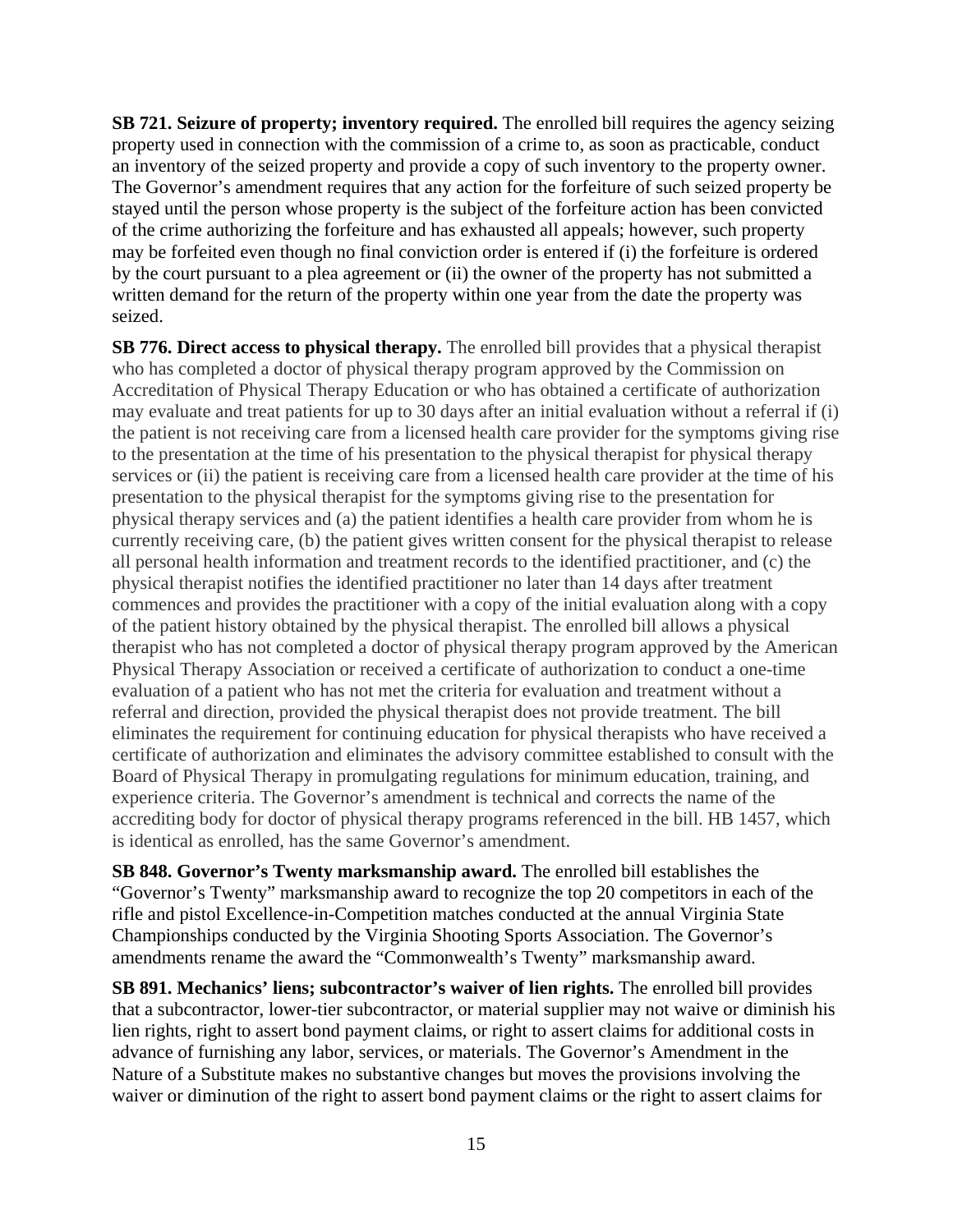**SB 721. Seizure of property; inventory required.** The enrolled bill requires the agency seizing property used in connection with the commission of a crime to, as soon as practicable, conduct an inventory of the seized property and provide a copy of such inventory to the property owner. The Governor's amendment requires that any action for the forfeiture of such seized property be stayed until the person whose property is the subject of the forfeiture action has been convicted of the crime authorizing the forfeiture and has exhausted all appeals; however, such property may be forfeited even though no final conviction order is entered if (i) the forfeiture is ordered by the court pursuant to a plea agreement or (ii) the owner of the property has not submitted a written demand for the return of the property within one year from the date the property was seized.

**SB 776. Direct access to physical therapy.** The enrolled bill provides that a physical therapist who has completed a doctor of physical therapy program approved by the Commission on Accreditation of Physical Therapy Education or who has obtained a certificate of authorization may evaluate and treat patients for up to 30 days after an initial evaluation without a referral if (i) the patient is not receiving care from a licensed health care provider for the symptoms giving rise to the presentation at the time of his presentation to the physical therapist for physical therapy services or (ii) the patient is receiving care from a licensed health care provider at the time of his presentation to the physical therapist for the symptoms giving rise to the presentation for physical therapy services and (a) the patient identifies a health care provider from whom he is currently receiving care, (b) the patient gives written consent for the physical therapist to release all personal health information and treatment records to the identified practitioner, and (c) the physical therapist notifies the identified practitioner no later than 14 days after treatment commences and provides the practitioner with a copy of the initial evaluation along with a copy of the patient history obtained by the physical therapist. The enrolled bill allows a physical therapist who has not completed a doctor of physical therapy program approved by the American Physical Therapy Association or received a certificate of authorization to conduct a one-time evaluation of a patient who has not met the criteria for evaluation and treatment without a referral and direction, provided the physical therapist does not provide treatment. The bill eliminates the requirement for continuing education for physical therapists who have received a certificate of authorization and eliminates the advisory committee established to consult with the Board of Physical Therapy in promulgating regulations for minimum education, training, and experience criteria. The Governor's amendment is technical and corrects the name of the accrediting body for doctor of physical therapy programs referenced in the bill. HB 1457, which is identical as enrolled, has the same Governor's amendment.

**SB 848. Governor's Twenty marksmanship award.** The enrolled bill establishes the "Governor's Twenty" marksmanship award to recognize the top 20 competitors in each of the rifle and pistol Excellence-in-Competition matches conducted at the annual Virginia State Championships conducted by the Virginia Shooting Sports Association. The Governor's amendments rename the award the "Commonwealth's Twenty" marksmanship award.

**SB 891. Mechanics' liens; subcontractor's waiver of lien rights.** The enrolled bill provides that a subcontractor, lower-tier subcontractor, or material supplier may not waive or diminish his lien rights, right to assert bond payment claims, or right to assert claims for additional costs in advance of furnishing any labor, services, or materials. The Governor's Amendment in the Nature of a Substitute makes no substantive changes but moves the provisions involving the waiver or diminution of the right to assert bond payment claims or the right to assert claims for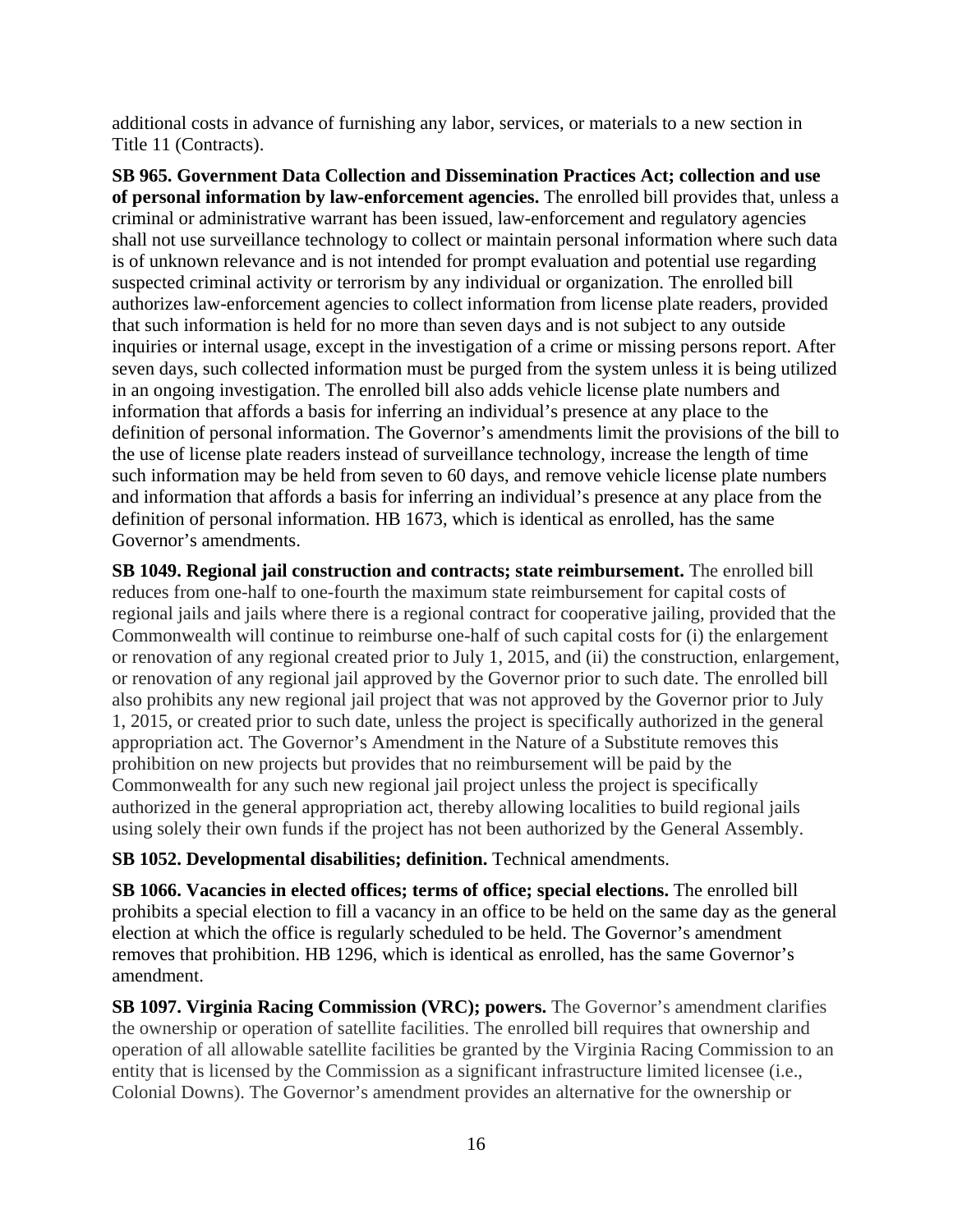additional costs in advance of furnishing any labor, services, or materials to a new section in Title 11 (Contracts).

**SB 965. Government Data Collection and Dissemination Practices Act; collection and use of personal information by law-enforcement agencies.** The enrolled bill provides that, unless a criminal or administrative warrant has been issued, law-enforcement and regulatory agencies shall not use surveillance technology to collect or maintain personal information where such data is of unknown relevance and is not intended for prompt evaluation and potential use regarding suspected criminal activity or terrorism by any individual or organization. The enrolled bill authorizes law-enforcement agencies to collect information from license plate readers, provided that such information is held for no more than seven days and is not subject to any outside inquiries or internal usage, except in the investigation of a crime or missing persons report. After seven days, such collected information must be purged from the system unless it is being utilized in an ongoing investigation. The enrolled bill also adds vehicle license plate numbers and information that affords a basis for inferring an individual's presence at any place to the definition of personal information. The Governor's amendments limit the provisions of the bill to the use of license plate readers instead of surveillance technology, increase the length of time such information may be held from seven to 60 days, and remove vehicle license plate numbers and information that affords a basis for inferring an individual's presence at any place from the definition of personal information. HB 1673, which is identical as enrolled, has the same Governor's amendments.

**SB 1049. Regional jail construction and contracts; state reimbursement.** The enrolled bill reduces from one-half to one-fourth the maximum state reimbursement for capital costs of regional jails and jails where there is a regional contract for cooperative jailing, provided that the Commonwealth will continue to reimburse one-half of such capital costs for (i) the enlargement or renovation of any regional created prior to July 1, 2015, and (ii) the construction, enlargement, or renovation of any regional jail approved by the Governor prior to such date. The enrolled bill also prohibits any new regional jail project that was not approved by the Governor prior to July 1, 2015, or created prior to such date, unless the project is specifically authorized in the general appropriation act. The Governor's Amendment in the Nature of a Substitute removes this prohibition on new projects but provides that no reimbursement will be paid by the Commonwealth for any such new regional jail project unless the project is specifically authorized in the general appropriation act, thereby allowing localities to build regional jails using solely their own funds if the project has not been authorized by the General Assembly.

**SB 1052. Developmental disabilities; definition.** Technical amendments.

**SB 1066. Vacancies in elected offices; terms of office; special elections.** The enrolled bill prohibits a special election to fill a vacancy in an office to be held on the same day as the general election at which the office is regularly scheduled to be held. The Governor's amendment removes that prohibition. HB 1296, which is identical as enrolled, has the same Governor's amendment.

**SB 1097. Virginia Racing Commission (VRC); powers.** The Governor's amendment clarifies the ownership or operation of satellite facilities. The enrolled bill requires that ownership and operation of all allowable satellite facilities be granted by the Virginia Racing Commission to an entity that is licensed by the Commission as a significant infrastructure limited licensee (i.e., Colonial Downs). The Governor's amendment provides an alternative for the ownership or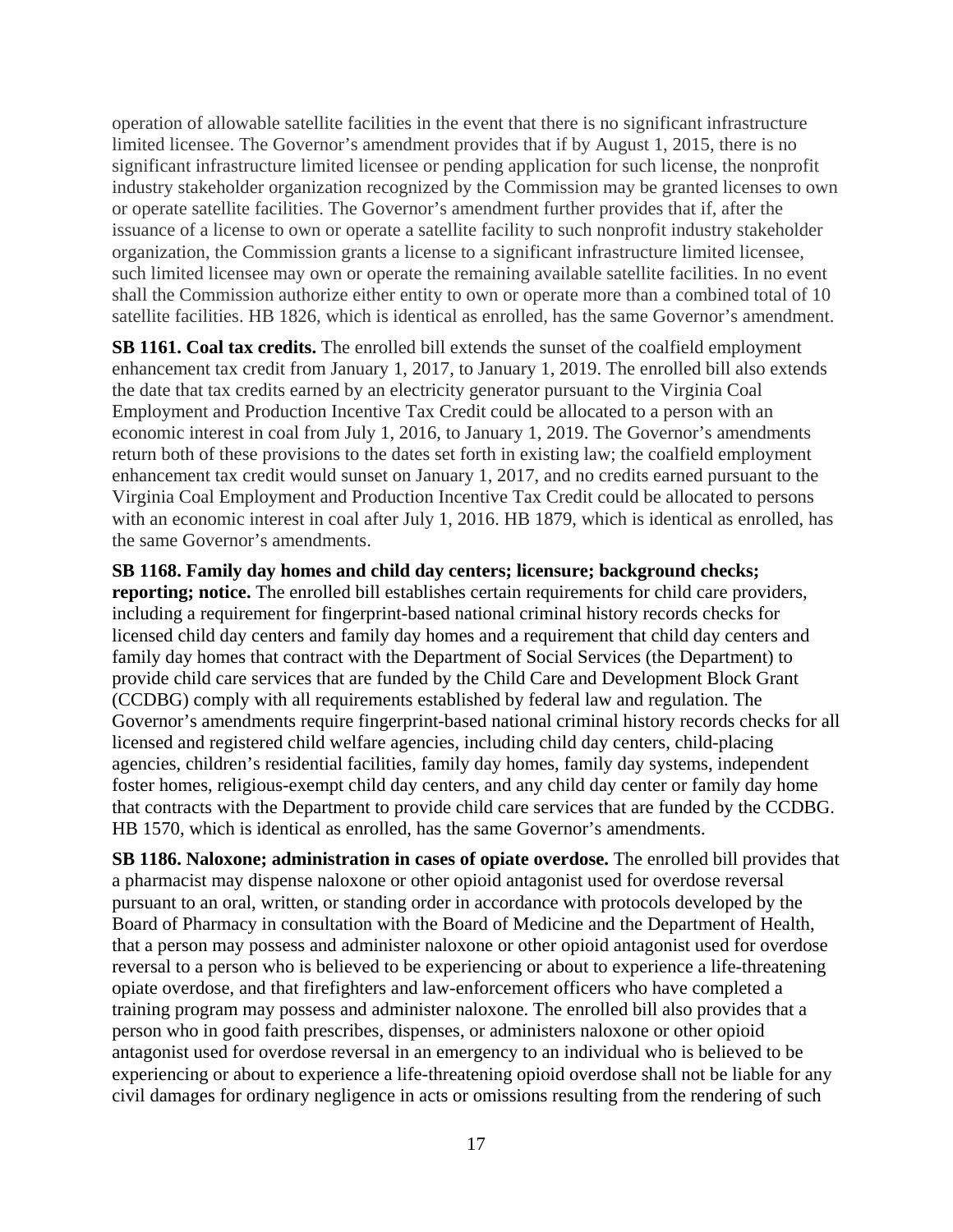operation of allowable satellite facilities in the event that there is no significant infrastructure limited licensee. The Governor's amendment provides that if by August 1, 2015, there is no significant infrastructure limited licensee or pending application for such license, the nonprofit industry stakeholder organization recognized by the Commission may be granted licenses to own or operate satellite facilities. The Governor's amendment further provides that if, after the issuance of a license to own or operate a satellite facility to such nonprofit industry stakeholder organization, the Commission grants a license to a significant infrastructure limited licensee, such limited licensee may own or operate the remaining available satellite facilities. In no event shall the Commission authorize either entity to own or operate more than a combined total of 10 satellite facilities. HB 1826, which is identical as enrolled, has the same Governor's amendment.

**SB 1161. Coal tax credits.** The enrolled bill extends the sunset of the coalfield employment enhancement tax credit from January 1, 2017, to January 1, 2019. The enrolled bill also extends the date that tax credits earned by an electricity generator pursuant to the Virginia Coal Employment and Production Incentive Tax Credit could be allocated to a person with an economic interest in coal from July 1, 2016, to January 1, 2019. The Governor's amendments return both of these provisions to the dates set forth in existing law; the coalfield employment enhancement tax credit would sunset on January 1, 2017, and no credits earned pursuant to the Virginia Coal Employment and Production Incentive Tax Credit could be allocated to persons with an economic interest in coal after July 1, 2016. HB 1879, which is identical as enrolled, has the same Governor's amendments.

**SB 1168. Family day homes and child day centers; licensure; background checks; reporting; notice.** The enrolled bill establishes certain requirements for child care providers, including a requirement for fingerprint-based national criminal history records checks for licensed child day centers and family day homes and a requirement that child day centers and family day homes that contract with the Department of Social Services (the Department) to provide child care services that are funded by the Child Care and Development Block Grant (CCDBG) comply with all requirements established by federal law and regulation. The Governor's amendments require fingerprint-based national criminal history records checks for all licensed and registered child welfare agencies, including child day centers, child-placing agencies, children's residential facilities, family day homes, family day systems, independent foster homes, religious-exempt child day centers, and any child day center or family day home that contracts with the Department to provide child care services that are funded by the CCDBG. HB 1570, which is identical as enrolled, has the same Governor's amendments.

**SB 1186. Naloxone; administration in cases of opiate overdose.** The enrolled bill provides that a pharmacist may dispense naloxone or other opioid antagonist used for overdose reversal pursuant to an oral, written, or standing order in accordance with protocols developed by the Board of Pharmacy in consultation with the Board of Medicine and the Department of Health, that a person may possess and administer naloxone or other opioid antagonist used for overdose reversal to a person who is believed to be experiencing or about to experience a life-threatening opiate overdose, and that firefighters and law-enforcement officers who have completed a training program may possess and administer naloxone. The enrolled bill also provides that a person who in good faith prescribes, dispenses, or administers naloxone or other opioid antagonist used for overdose reversal in an emergency to an individual who is believed to be experiencing or about to experience a life-threatening opioid overdose shall not be liable for any civil damages for ordinary negligence in acts or omissions resulting from the rendering of such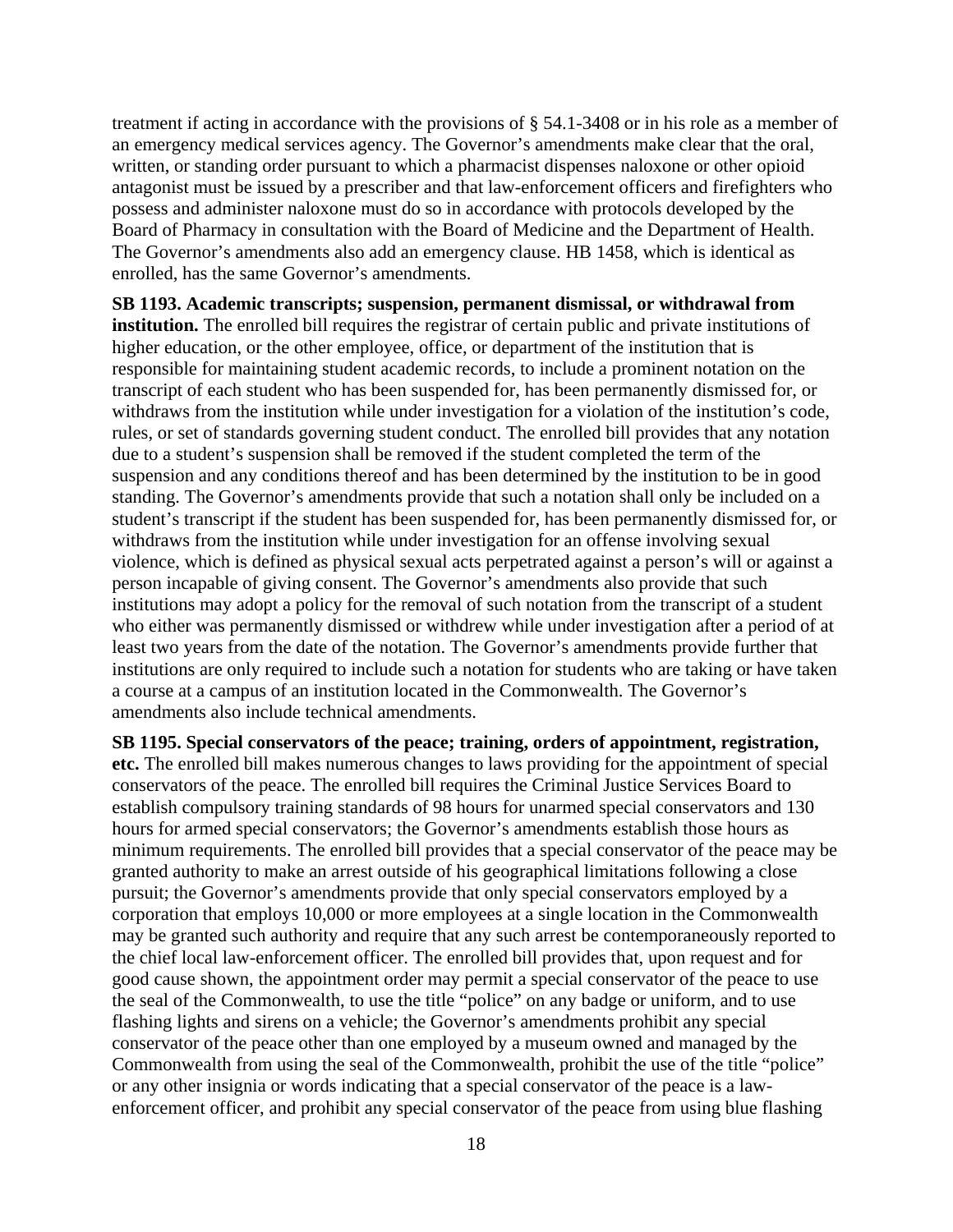treatment if acting in accordance with the provisions of § 54.1-3408 or in his role as a member of an emergency medical services agency. The Governor's amendments make clear that the oral, written, or standing order pursuant to which a pharmacist dispenses naloxone or other opioid antagonist must be issued by a prescriber and that law-enforcement officers and firefighters who possess and administer naloxone must do so in accordance with protocols developed by the Board of Pharmacy in consultation with the Board of Medicine and the Department of Health. The Governor's amendments also add an emergency clause. HB 1458, which is identical as enrolled, has the same Governor's amendments.

**SB 1193. Academic transcripts; suspension, permanent dismissal, or withdrawal from institution.** The enrolled bill requires the registrar of certain public and private institutions of higher education, or the other employee, office, or department of the institution that is responsible for maintaining student academic records, to include a prominent notation on the transcript of each student who has been suspended for, has been permanently dismissed for, or withdraws from the institution while under investigation for a violation of the institution's code, rules, or set of standards governing student conduct. The enrolled bill provides that any notation due to a student's suspension shall be removed if the student completed the term of the suspension and any conditions thereof and has been determined by the institution to be in good standing. The Governor's amendments provide that such a notation shall only be included on a student's transcript if the student has been suspended for, has been permanently dismissed for, or withdraws from the institution while under investigation for an offense involving sexual violence, which is defined as physical sexual acts perpetrated against a person's will or against a person incapable of giving consent. The Governor's amendments also provide that such institutions may adopt a policy for the removal of such notation from the transcript of a student who either was permanently dismissed or withdrew while under investigation after a period of at least two years from the date of the notation. The Governor's amendments provide further that institutions are only required to include such a notation for students who are taking or have taken a course at a campus of an institution located in the Commonwealth. The Governor's amendments also include technical amendments.

**SB 1195. Special conservators of the peace; training, orders of appointment, registration, etc.** The enrolled bill makes numerous changes to laws providing for the appointment of special conservators of the peace. The enrolled bill requires the Criminal Justice Services Board to establish compulsory training standards of 98 hours for unarmed special conservators and 130 hours for armed special conservators; the Governor's amendments establish those hours as minimum requirements. The enrolled bill provides that a special conservator of the peace may be granted authority to make an arrest outside of his geographical limitations following a close pursuit; the Governor's amendments provide that only special conservators employed by a corporation that employs 10,000 or more employees at a single location in the Commonwealth may be granted such authority and require that any such arrest be contemporaneously reported to the chief local law-enforcement officer. The enrolled bill provides that, upon request and for good cause shown, the appointment order may permit a special conservator of the peace to use the seal of the Commonwealth, to use the title "police" on any badge or uniform, and to use flashing lights and sirens on a vehicle; the Governor's amendments prohibit any special conservator of the peace other than one employed by a museum owned and managed by the Commonwealth from using the seal of the Commonwealth, prohibit the use of the title "police" or any other insignia or words indicating that a special conservator of the peace is a lawenforcement officer, and prohibit any special conservator of the peace from using blue flashing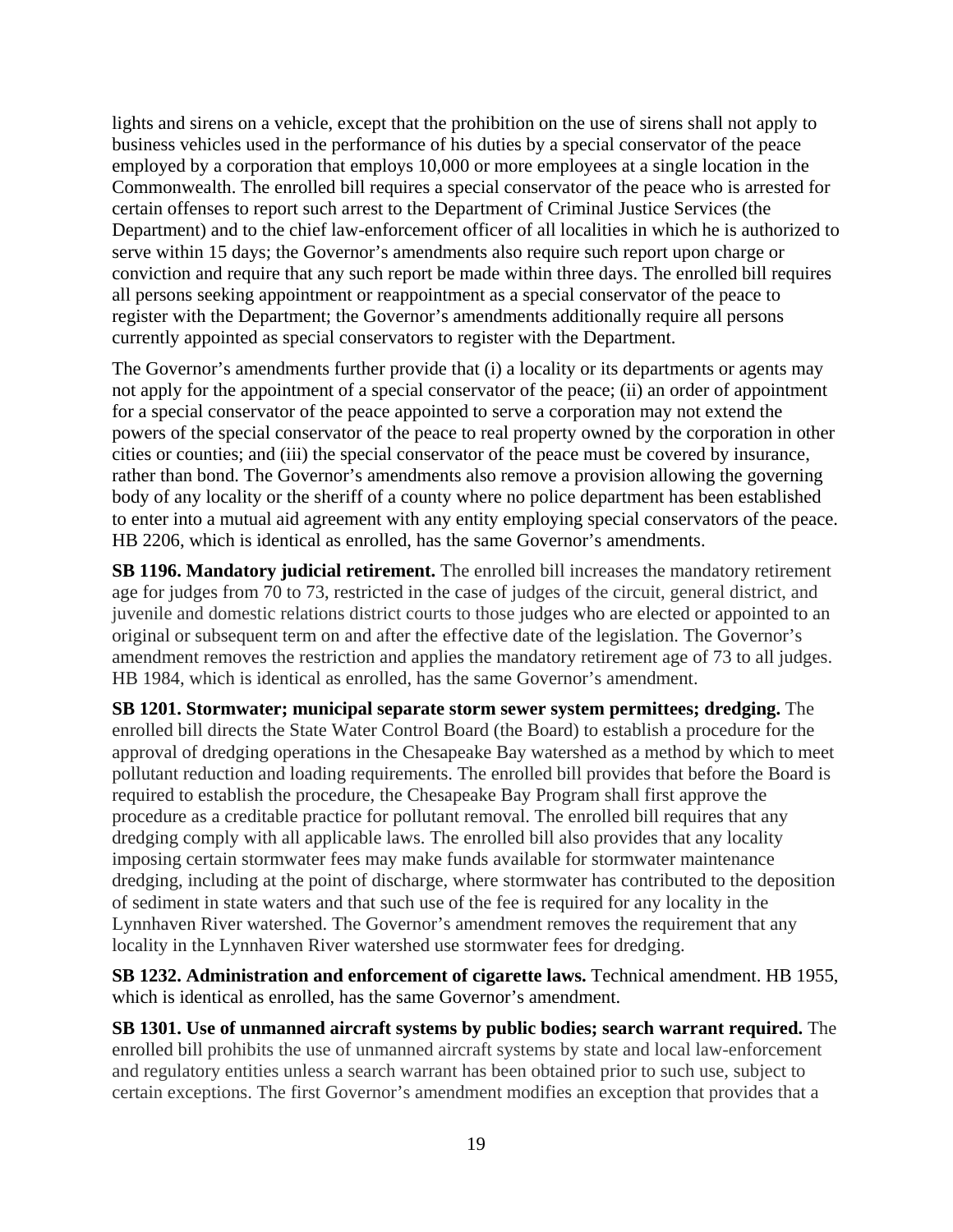lights and sirens on a vehicle, except that the prohibition on the use of sirens shall not apply to business vehicles used in the performance of his duties by a special conservator of the peace employed by a corporation that employs 10,000 or more employees at a single location in the Commonwealth. The enrolled bill requires a special conservator of the peace who is arrested for certain offenses to report such arrest to the Department of Criminal Justice Services (the Department) and to the chief law-enforcement officer of all localities in which he is authorized to serve within 15 days; the Governor's amendments also require such report upon charge or conviction and require that any such report be made within three days. The enrolled bill requires all persons seeking appointment or reappointment as a special conservator of the peace to register with the Department; the Governor's amendments additionally require all persons currently appointed as special conservators to register with the Department.

The Governor's amendments further provide that (i) a locality or its departments or agents may not apply for the appointment of a special conservator of the peace; (ii) an order of appointment for a special conservator of the peace appointed to serve a corporation may not extend the powers of the special conservator of the peace to real property owned by the corporation in other cities or counties; and (iii) the special conservator of the peace must be covered by insurance, rather than bond. The Governor's amendments also remove a provision allowing the governing body of any locality or the sheriff of a county where no police department has been established to enter into a mutual aid agreement with any entity employing special conservators of the peace. HB 2206, which is identical as enrolled, has the same Governor's amendments.

**SB 1196. Mandatory judicial retirement.** The enrolled bill increases the mandatory retirement age for judges from 70 to 73, restricted in the case of judges of the circuit, general district, and juvenile and domestic relations district courts to those judges who are elected or appointed to an original or subsequent term on and after the effective date of the legislation. The Governor's amendment removes the restriction and applies the mandatory retirement age of 73 to all judges. HB 1984, which is identical as enrolled, has the same Governor's amendment.

**SB 1201. Stormwater; municipal separate storm sewer system permittees; dredging.** The enrolled bill directs the State Water Control Board (the Board) to establish a procedure for the approval of dredging operations in the Chesapeake Bay watershed as a method by which to meet pollutant reduction and loading requirements. The enrolled bill provides that before the Board is required to establish the procedure, the Chesapeake Bay Program shall first approve the procedure as a creditable practice for pollutant removal. The enrolled bill requires that any dredging comply with all applicable laws. The enrolled bill also provides that any locality imposing certain stormwater fees may make funds available for stormwater maintenance dredging, including at the point of discharge, where stormwater has contributed to the deposition of sediment in state waters and that such use of the fee is required for any locality in the Lynnhaven River watershed. The Governor's amendment removes the requirement that any locality in the Lynnhaven River watershed use stormwater fees for dredging.

**SB 1232. Administration and enforcement of cigarette laws.** Technical amendment. HB 1955, which is identical as enrolled, has the same Governor's amendment.

**SB 1301. Use of unmanned aircraft systems by public bodies; search warrant required.** The enrolled bill prohibits the use of unmanned aircraft systems by state and local law-enforcement and regulatory entities unless a search warrant has been obtained prior to such use, subject to certain exceptions. The first Governor's amendment modifies an exception that provides that a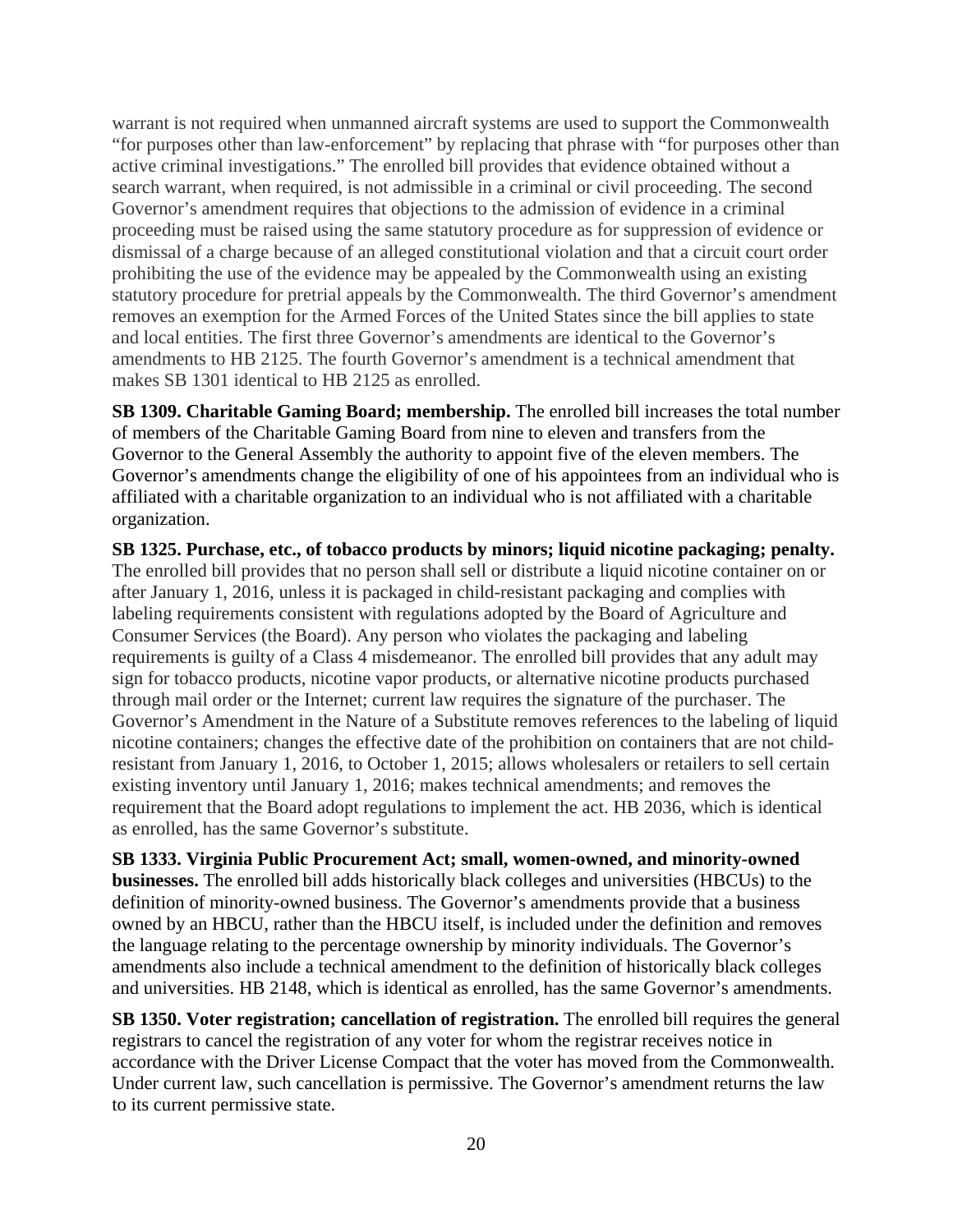warrant is not required when unmanned aircraft systems are used to support the Commonwealth "for purposes other than law-enforcement" by replacing that phrase with "for purposes other than active criminal investigations." The enrolled bill provides that evidence obtained without a search warrant, when required, is not admissible in a criminal or civil proceeding. The second Governor's amendment requires that objections to the admission of evidence in a criminal proceeding must be raised using the same statutory procedure as for suppression of evidence or dismissal of a charge because of an alleged constitutional violation and that a circuit court order prohibiting the use of the evidence may be appealed by the Commonwealth using an existing statutory procedure for pretrial appeals by the Commonwealth. The third Governor's amendment removes an exemption for the Armed Forces of the United States since the bill applies to state and local entities. The first three Governor's amendments are identical to the Governor's amendments to HB 2125. The fourth Governor's amendment is a technical amendment that makes SB 1301 identical to HB 2125 as enrolled.

**SB 1309. Charitable Gaming Board; membership.** The enrolled bill increases the total number of members of the Charitable Gaming Board from nine to eleven and transfers from the Governor to the General Assembly the authority to appoint five of the eleven members. The Governor's amendments change the eligibility of one of his appointees from an individual who is affiliated with a charitable organization to an individual who is not affiliated with a charitable organization.

**SB 1325. Purchase, etc., of tobacco products by minors; liquid nicotine packaging; penalty.** The enrolled bill provides that no person shall sell or distribute a liquid nicotine container on or after January 1, 2016, unless it is packaged in child-resistant packaging and complies with labeling requirements consistent with regulations adopted by the Board of Agriculture and Consumer Services (the Board). Any person who violates the packaging and labeling requirements is guilty of a Class 4 misdemeanor. The enrolled bill provides that any adult may sign for tobacco products, nicotine vapor products, or alternative nicotine products purchased through mail order or the Internet; current law requires the signature of the purchaser. The Governor's Amendment in the Nature of a Substitute removes references to the labeling of liquid nicotine containers; changes the effective date of the prohibition on containers that are not childresistant from January 1, 2016, to October 1, 2015; allows wholesalers or retailers to sell certain existing inventory until January 1, 2016; makes technical amendments; and removes the requirement that the Board adopt regulations to implement the act. HB 2036, which is identical as enrolled, has the same Governor's substitute.

**SB 1333. Virginia Public Procurement Act; small, women-owned, and minority-owned businesses.** The enrolled bill adds historically black colleges and universities (HBCUs) to the definition of minority-owned business. The Governor's amendments provide that a business owned by an HBCU, rather than the HBCU itself, is included under the definition and removes the language relating to the percentage ownership by minority individuals. The Governor's amendments also include a technical amendment to the definition of historically black colleges and universities. HB 2148, which is identical as enrolled, has the same Governor's amendments.

**SB 1350. Voter registration; cancellation of registration.** The enrolled bill requires the general registrars to cancel the registration of any voter for whom the registrar receives notice in accordance with the Driver License Compact that the voter has moved from the Commonwealth. Under current law, such cancellation is permissive. The Governor's amendment returns the law to its current permissive state.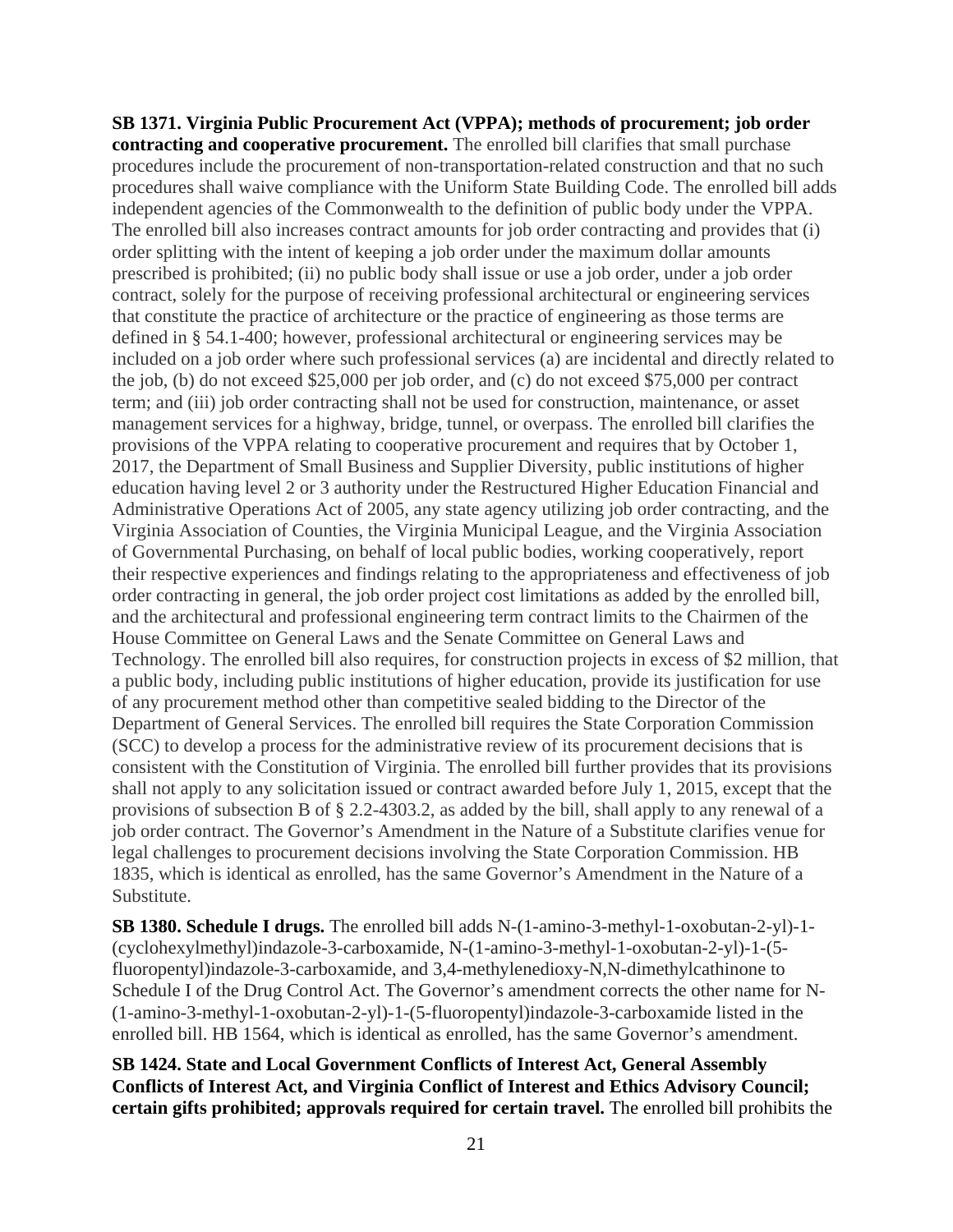**SB 1371. Virginia Public Procurement Act (VPPA); methods of procurement; job order contracting and cooperative procurement.** The enrolled bill clarifies that small purchase procedures include the procurement of non-transportation-related construction and that no such procedures shall waive compliance with the Uniform State Building Code. The enrolled bill adds independent agencies of the Commonwealth to the definition of public body under the VPPA. The enrolled bill also increases contract amounts for job order contracting and provides that (i) order splitting with the intent of keeping a job order under the maximum dollar amounts prescribed is prohibited; (ii) no public body shall issue or use a job order, under a job order contract, solely for the purpose of receiving professional architectural or engineering services that constitute the practice of architecture or the practice of engineering as those terms are defined in § 54.1-400; however, professional architectural or engineering services may be included on a job order where such professional services (a) are incidental and directly related to the job, (b) do not exceed \$25,000 per job order, and (c) do not exceed \$75,000 per contract term; and (iii) job order contracting shall not be used for construction, maintenance, or asset management services for a highway, bridge, tunnel, or overpass. The enrolled bill clarifies the provisions of the VPPA relating to cooperative procurement and requires that by October 1, 2017, the Department of Small Business and Supplier Diversity, public institutions of higher education having level 2 or 3 authority under the Restructured Higher Education Financial and Administrative Operations Act of 2005, any state agency utilizing job order contracting, and the Virginia Association of Counties, the Virginia Municipal League, and the Virginia Association of Governmental Purchasing, on behalf of local public bodies, working cooperatively, report their respective experiences and findings relating to the appropriateness and effectiveness of job order contracting in general, the job order project cost limitations as added by the enrolled bill, and the architectural and professional engineering term contract limits to the Chairmen of the House Committee on General Laws and the Senate Committee on General Laws and Technology. The enrolled bill also requires, for construction projects in excess of \$2 million, that a public body, including public institutions of higher education, provide its justification for use of any procurement method other than competitive sealed bidding to the Director of the Department of General Services. The enrolled bill requires the State Corporation Commission (SCC) to develop a process for the administrative review of its procurement decisions that is consistent with the Constitution of Virginia. The enrolled bill further provides that its provisions shall not apply to any solicitation issued or contract awarded before July 1, 2015, except that the provisions of subsection B of § 2.2-4303.2, as added by the bill, shall apply to any renewal of a job order contract. The Governor's Amendment in the Nature of a Substitute clarifies venue for legal challenges to procurement decisions involving the State Corporation Commission. HB 1835, which is identical as enrolled, has the same Governor's Amendment in the Nature of a Substitute.

**SB 1380. Schedule I drugs.** The enrolled bill adds N-(1-amino-3-methyl-1-oxobutan-2-yl)-1- (cyclohexylmethyl)indazole-3-carboxamide, N-(1-amino-3-methyl-1-oxobutan-2-yl)-1-(5 fluoropentyl)indazole-3-carboxamide, and 3,4-methylenedioxy-N,N-dimethylcathinone to Schedule I of the Drug Control Act. The Governor's amendment corrects the other name for N- (1-amino-3-methyl-1-oxobutan-2-yl)-1-(5-fluoropentyl)indazole-3-carboxamide listed in the enrolled bill. HB 1564, which is identical as enrolled, has the same Governor's amendment.

**SB 1424. State and Local Government Conflicts of Interest Act, General Assembly Conflicts of Interest Act, and Virginia Conflict of Interest and Ethics Advisory Council; certain gifts prohibited; approvals required for certain travel.** The enrolled bill prohibits the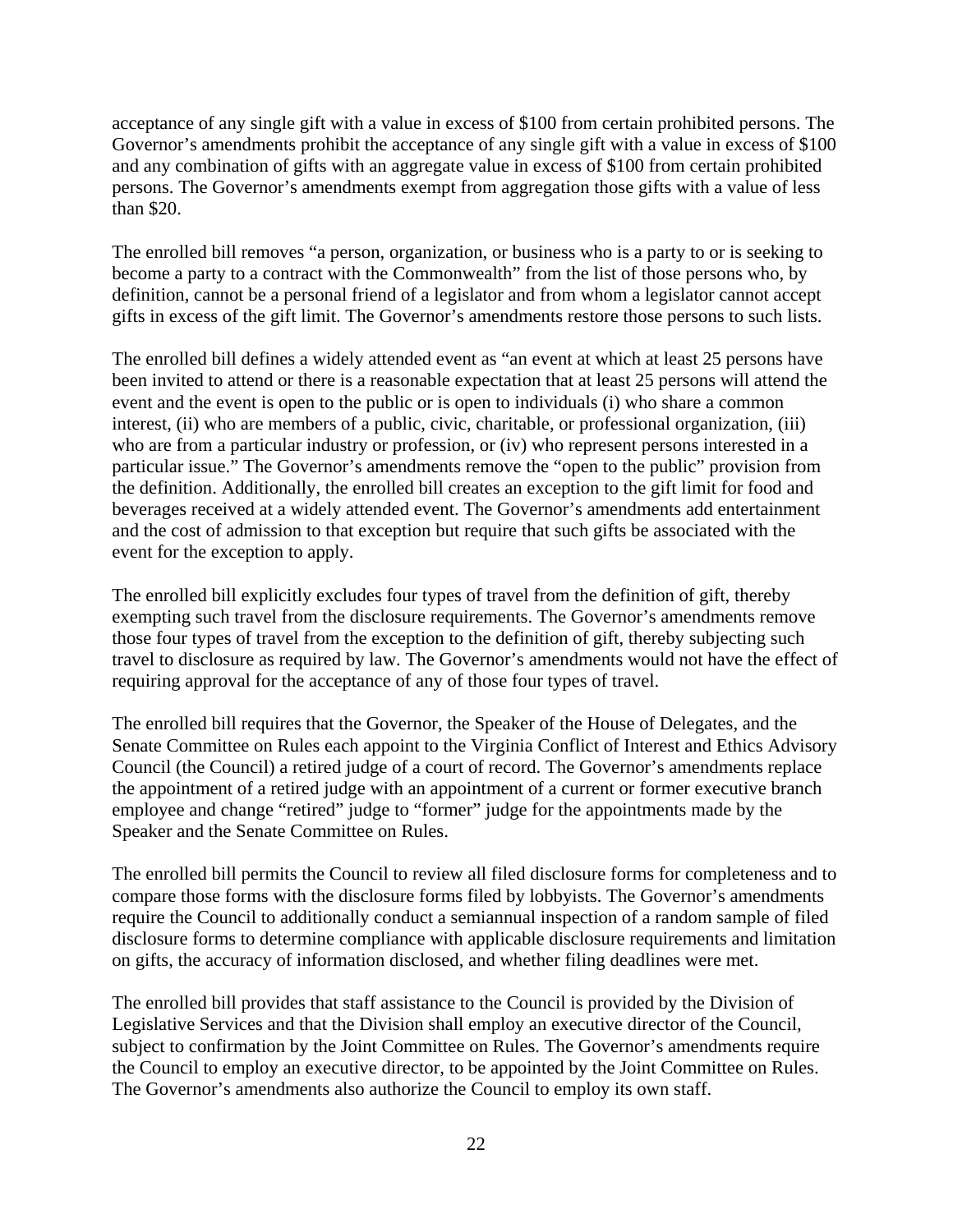acceptance of any single gift with a value in excess of \$100 from certain prohibited persons. The Governor's amendments prohibit the acceptance of any single gift with a value in excess of \$100 and any combination of gifts with an aggregate value in excess of \$100 from certain prohibited persons. The Governor's amendments exempt from aggregation those gifts with a value of less than \$20.

The enrolled bill removes "a person, organization, or business who is a party to or is seeking to become a party to a contract with the Commonwealth" from the list of those persons who, by definition, cannot be a personal friend of a legislator and from whom a legislator cannot accept gifts in excess of the gift limit. The Governor's amendments restore those persons to such lists.

The enrolled bill defines a widely attended event as "an event at which at least 25 persons have been invited to attend or there is a reasonable expectation that at least 25 persons will attend the event and the event is open to the public or is open to individuals (i) who share a common interest, (ii) who are members of a public, civic, charitable, or professional organization, (iii) who are from a particular industry or profession, or (iv) who represent persons interested in a particular issue." The Governor's amendments remove the "open to the public" provision from the definition. Additionally, the enrolled bill creates an exception to the gift limit for food and beverages received at a widely attended event. The Governor's amendments add entertainment and the cost of admission to that exception but require that such gifts be associated with the event for the exception to apply.

The enrolled bill explicitly excludes four types of travel from the definition of gift, thereby exempting such travel from the disclosure requirements. The Governor's amendments remove those four types of travel from the exception to the definition of gift, thereby subjecting such travel to disclosure as required by law. The Governor's amendments would not have the effect of requiring approval for the acceptance of any of those four types of travel.

The enrolled bill requires that the Governor, the Speaker of the House of Delegates, and the Senate Committee on Rules each appoint to the Virginia Conflict of Interest and Ethics Advisory Council (the Council) a retired judge of a court of record. The Governor's amendments replace the appointment of a retired judge with an appointment of a current or former executive branch employee and change "retired" judge to "former" judge for the appointments made by the Speaker and the Senate Committee on Rules.

The enrolled bill permits the Council to review all filed disclosure forms for completeness and to compare those forms with the disclosure forms filed by lobbyists. The Governor's amendments require the Council to additionally conduct a semiannual inspection of a random sample of filed disclosure forms to determine compliance with applicable disclosure requirements and limitation on gifts, the accuracy of information disclosed, and whether filing deadlines were met.

The enrolled bill provides that staff assistance to the Council is provided by the Division of Legislative Services and that the Division shall employ an executive director of the Council, subject to confirmation by the Joint Committee on Rules. The Governor's amendments require the Council to employ an executive director, to be appointed by the Joint Committee on Rules. The Governor's amendments also authorize the Council to employ its own staff.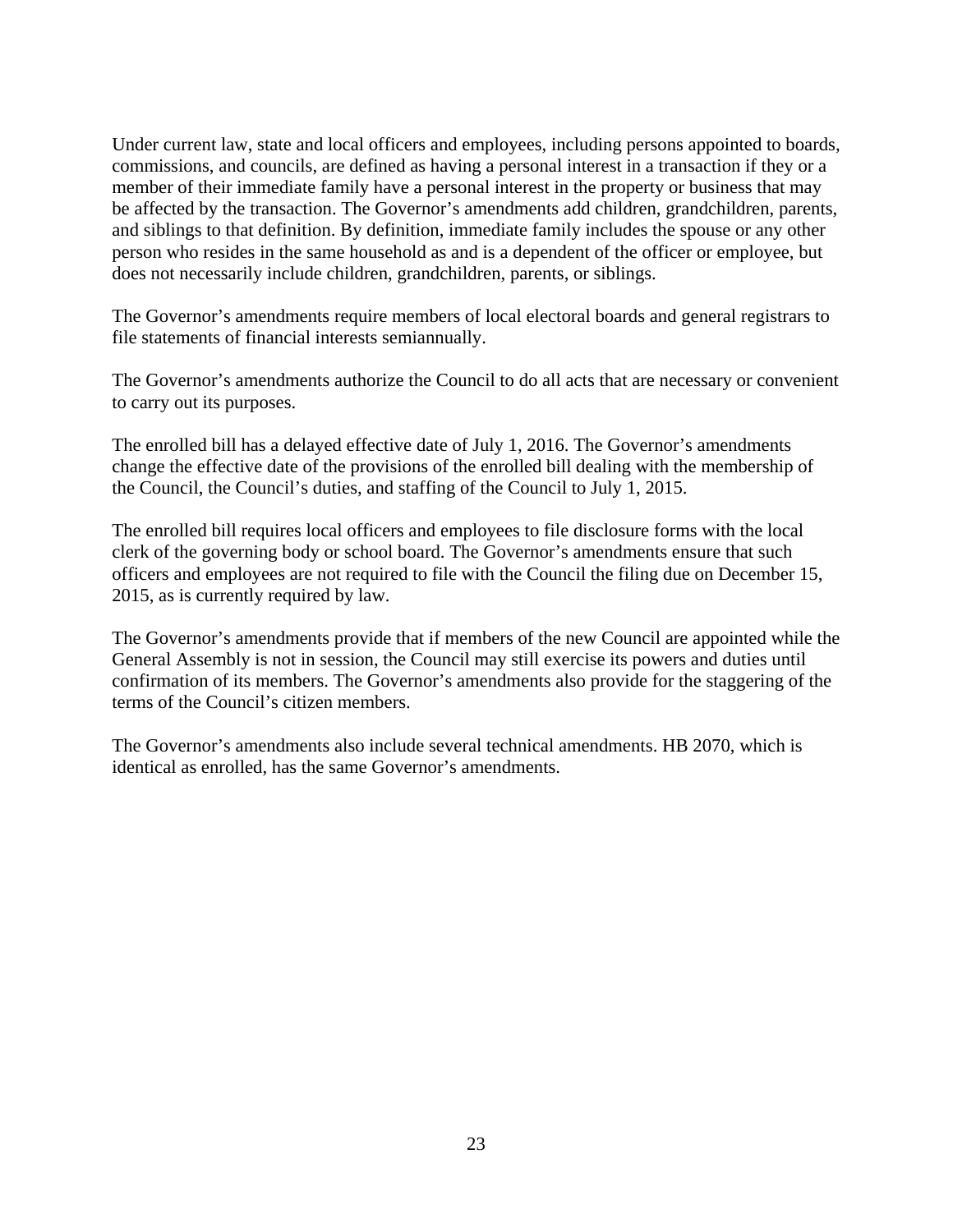Under current law, state and local officers and employees, including persons appointed to boards, commissions, and councils, are defined as having a personal interest in a transaction if they or a member of their immediate family have a personal interest in the property or business that may be affected by the transaction. The Governor's amendments add children, grandchildren, parents, and siblings to that definition. By definition, immediate family includes the spouse or any other person who resides in the same household as and is a dependent of the officer or employee, but does not necessarily include children, grandchildren, parents, or siblings.

The Governor's amendments require members of local electoral boards and general registrars to file statements of financial interests semiannually.

The Governor's amendments authorize the Council to do all acts that are necessary or convenient to carry out its purposes.

The enrolled bill has a delayed effective date of July 1, 2016. The Governor's amendments change the effective date of the provisions of the enrolled bill dealing with the membership of the Council, the Council's duties, and staffing of the Council to July 1, 2015.

The enrolled bill requires local officers and employees to file disclosure forms with the local clerk of the governing body or school board. The Governor's amendments ensure that such officers and employees are not required to file with the Council the filing due on December 15, 2015, as is currently required by law.

The Governor's amendments provide that if members of the new Council are appointed while the General Assembly is not in session, the Council may still exercise its powers and duties until confirmation of its members. The Governor's amendments also provide for the staggering of the terms of the Council's citizen members.

The Governor's amendments also include several technical amendments. HB 2070, which is identical as enrolled, has the same Governor's amendments.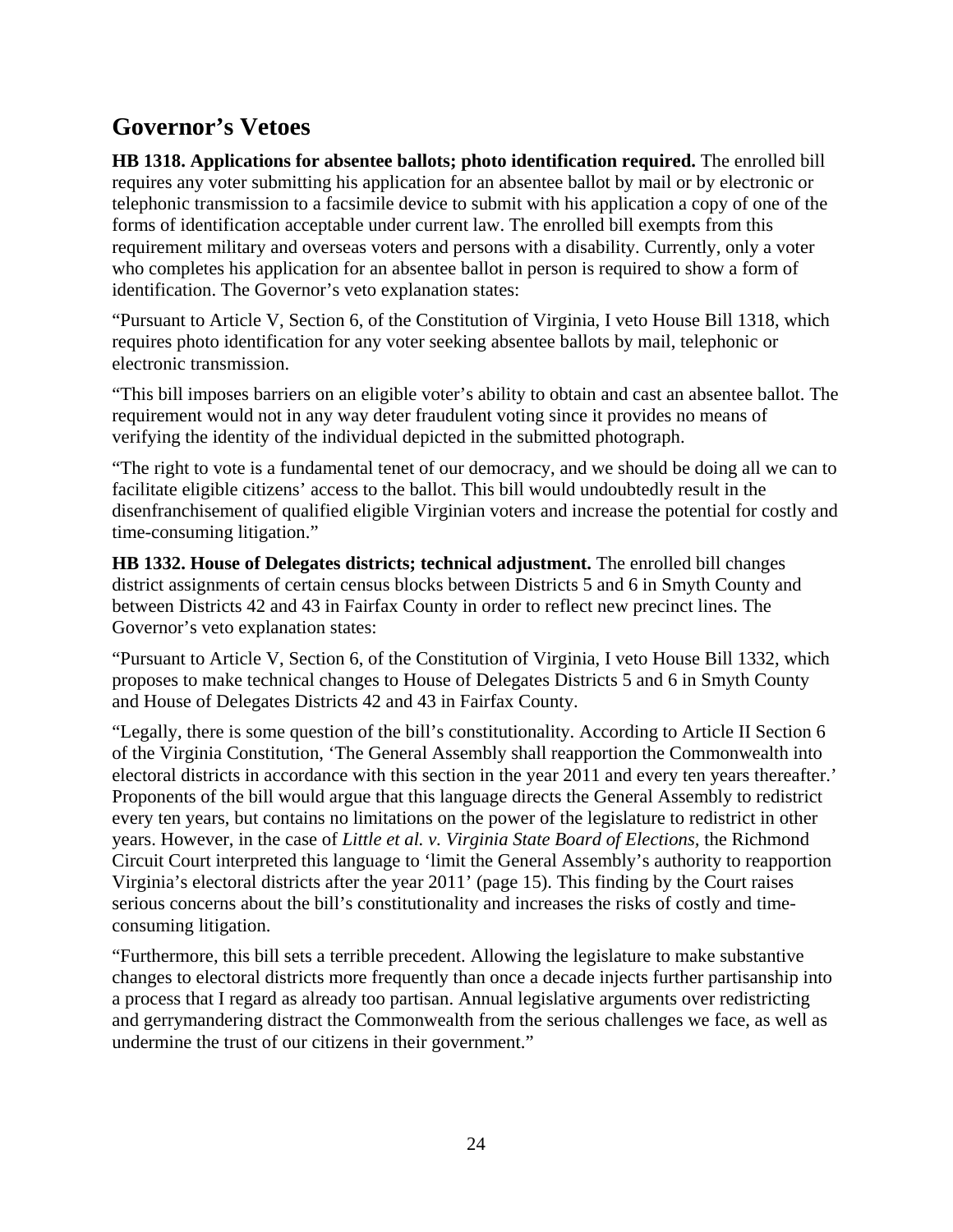# **Governor's Vetoes**

**HB 1318. Applications for absentee ballots; photo identification required.** The enrolled bill requires any voter submitting his application for an absentee ballot by mail or by electronic or telephonic transmission to a facsimile device to submit with his application a copy of one of the forms of identification acceptable under current law. The enrolled bill exempts from this requirement military and overseas voters and persons with a disability. Currently, only a voter who completes his application for an absentee ballot in person is required to show a form of identification. The Governor's veto explanation states:

"Pursuant to Article V, Section 6, of the Constitution of Virginia, I veto House Bill 1318, which requires photo identification for any voter seeking absentee ballots by mail, telephonic or electronic transmission.

"This bill imposes barriers on an eligible voter's ability to obtain and cast an absentee ballot. The requirement would not in any way deter fraudulent voting since it provides no means of verifying the identity of the individual depicted in the submitted photograph.

"The right to vote is a fundamental tenet of our democracy, and we should be doing all we can to facilitate eligible citizens' access to the ballot. This bill would undoubtedly result in the disenfranchisement of qualified eligible Virginian voters and increase the potential for costly and time-consuming litigation."

**HB 1332. House of Delegates districts; technical adjustment.** The enrolled bill changes district assignments of certain census blocks between Districts 5 and 6 in Smyth County and between Districts 42 and 43 in Fairfax County in order to reflect new precinct lines. The Governor's veto explanation states:

"Pursuant to Article V, Section 6, of the Constitution of Virginia, I veto House Bill 1332, which proposes to make technical changes to House of Delegates Districts 5 and 6 in Smyth County and House of Delegates Districts 42 and 43 in Fairfax County.

"Legally, there is some question of the bill's constitutionality. According to Article II Section 6 of the Virginia Constitution, 'The General Assembly shall reapportion the Commonwealth into electoral districts in accordance with this section in the year 2011 and every ten years thereafter.' Proponents of the bill would argue that this language directs the General Assembly to redistrict every ten years, but contains no limitations on the power of the legislature to redistrict in other years. However, in the case of *Little et al. v. Virginia State Board of Elections,* the Richmond Circuit Court interpreted this language to 'limit the General Assembly's authority to reapportion Virginia's electoral districts after the year 2011' (page 15). This finding by the Court raises serious concerns about the bill's constitutionality and increases the risks of costly and timeconsuming litigation.

"Furthermore, this bill sets a terrible precedent. Allowing the legislature to make substantive changes to electoral districts more frequently than once a decade injects further partisanship into a process that I regard as already too partisan. Annual legislative arguments over redistricting and gerrymandering distract the Commonwealth from the serious challenges we face, as well as undermine the trust of our citizens in their government."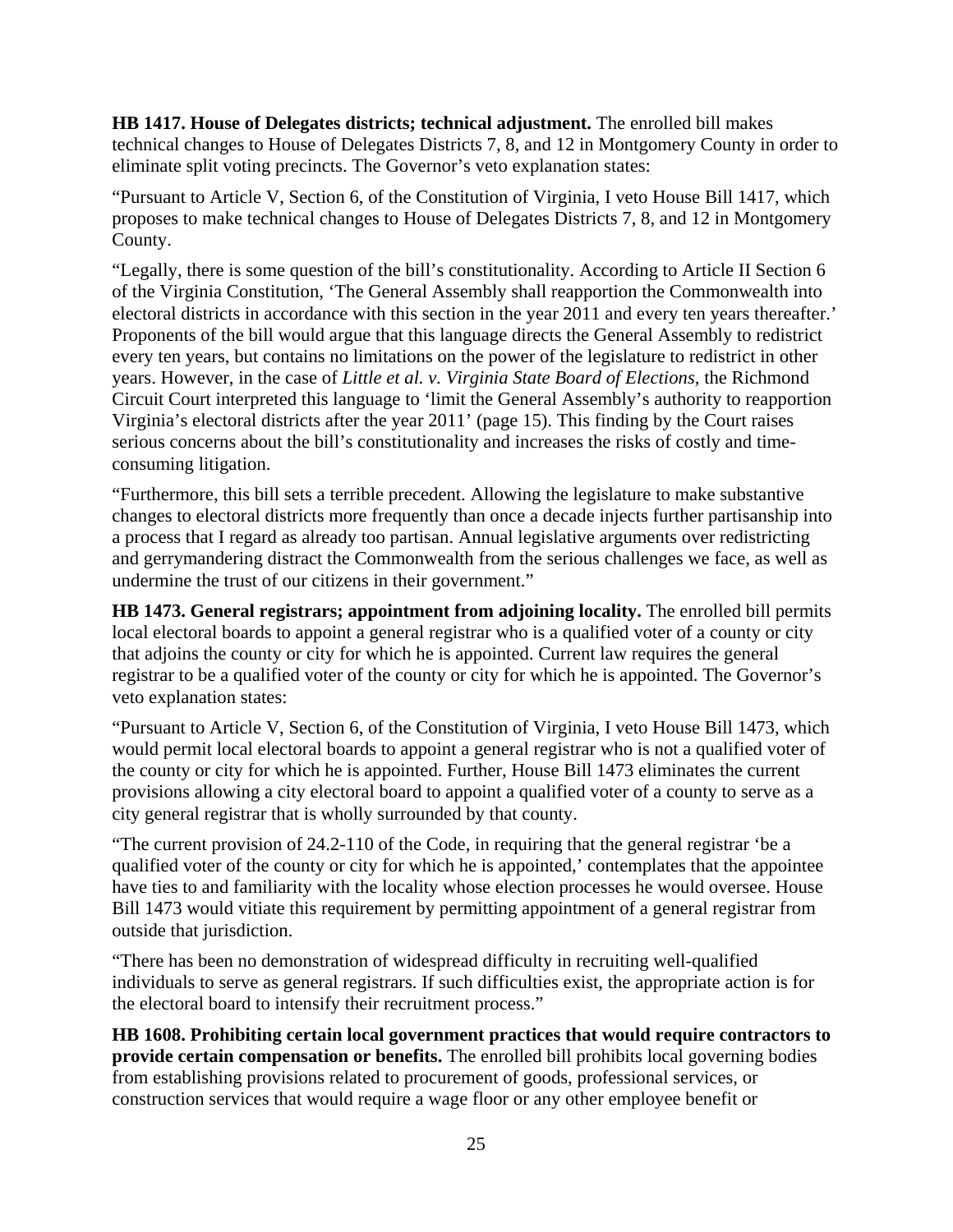**HB 1417. House of Delegates districts; technical adjustment.** The enrolled bill makes technical changes to House of Delegates Districts 7, 8, and 12 in Montgomery County in order to eliminate split voting precincts. The Governor's veto explanation states:

"Pursuant to Article V, Section 6, of the Constitution of Virginia, I veto House Bill 1417, which proposes to make technical changes to House of Delegates Districts 7, 8, and 12 in Montgomery County.

"Legally, there is some question of the bill's constitutionality. According to Article II Section 6 of the Virginia Constitution, 'The General Assembly shall reapportion the Commonwealth into electoral districts in accordance with this section in the year 2011 and every ten years thereafter.' Proponents of the bill would argue that this language directs the General Assembly to redistrict every ten years, but contains no limitations on the power of the legislature to redistrict in other years. However, in the case of *Little et al. v. Virginia State Board of Elections,* the Richmond Circuit Court interpreted this language to 'limit the General Assembly's authority to reapportion Virginia's electoral districts after the year 2011' (page 15). This finding by the Court raises serious concerns about the bill's constitutionality and increases the risks of costly and timeconsuming litigation.

"Furthermore, this bill sets a terrible precedent. Allowing the legislature to make substantive changes to electoral districts more frequently than once a decade injects further partisanship into a process that I regard as already too partisan. Annual legislative arguments over redistricting and gerrymandering distract the Commonwealth from the serious challenges we face, as well as undermine the trust of our citizens in their government."

**HB 1473. General registrars; appointment from adjoining locality.** The enrolled bill permits local electoral boards to appoint a general registrar who is a qualified voter of a county or city that adjoins the county or city for which he is appointed. Current law requires the general registrar to be a qualified voter of the county or city for which he is appointed. The Governor's veto explanation states:

"Pursuant to Article V, Section 6, of the Constitution of Virginia, I veto House Bill 1473, which would permit local electoral boards to appoint a general registrar who is not a qualified voter of the county or city for which he is appointed. Further, House Bill 1473 eliminates the current provisions allowing a city electoral board to appoint a qualified voter of a county to serve as a city general registrar that is wholly surrounded by that county.

"The current provision of 24.2-110 of the Code, in requiring that the general registrar 'be a qualified voter of the county or city for which he is appointed,' contemplates that the appointee have ties to and familiarity with the locality whose election processes he would oversee. House Bill 1473 would vitiate this requirement by permitting appointment of a general registrar from outside that jurisdiction.

"There has been no demonstration of widespread difficulty in recruiting well-qualified individuals to serve as general registrars. If such difficulties exist, the appropriate action is for the electoral board to intensify their recruitment process."

**HB 1608. Prohibiting certain local government practices that would require contractors to provide certain compensation or benefits.** The enrolled bill prohibits local governing bodies from establishing provisions related to procurement of goods, professional services, or construction services that would require a wage floor or any other employee benefit or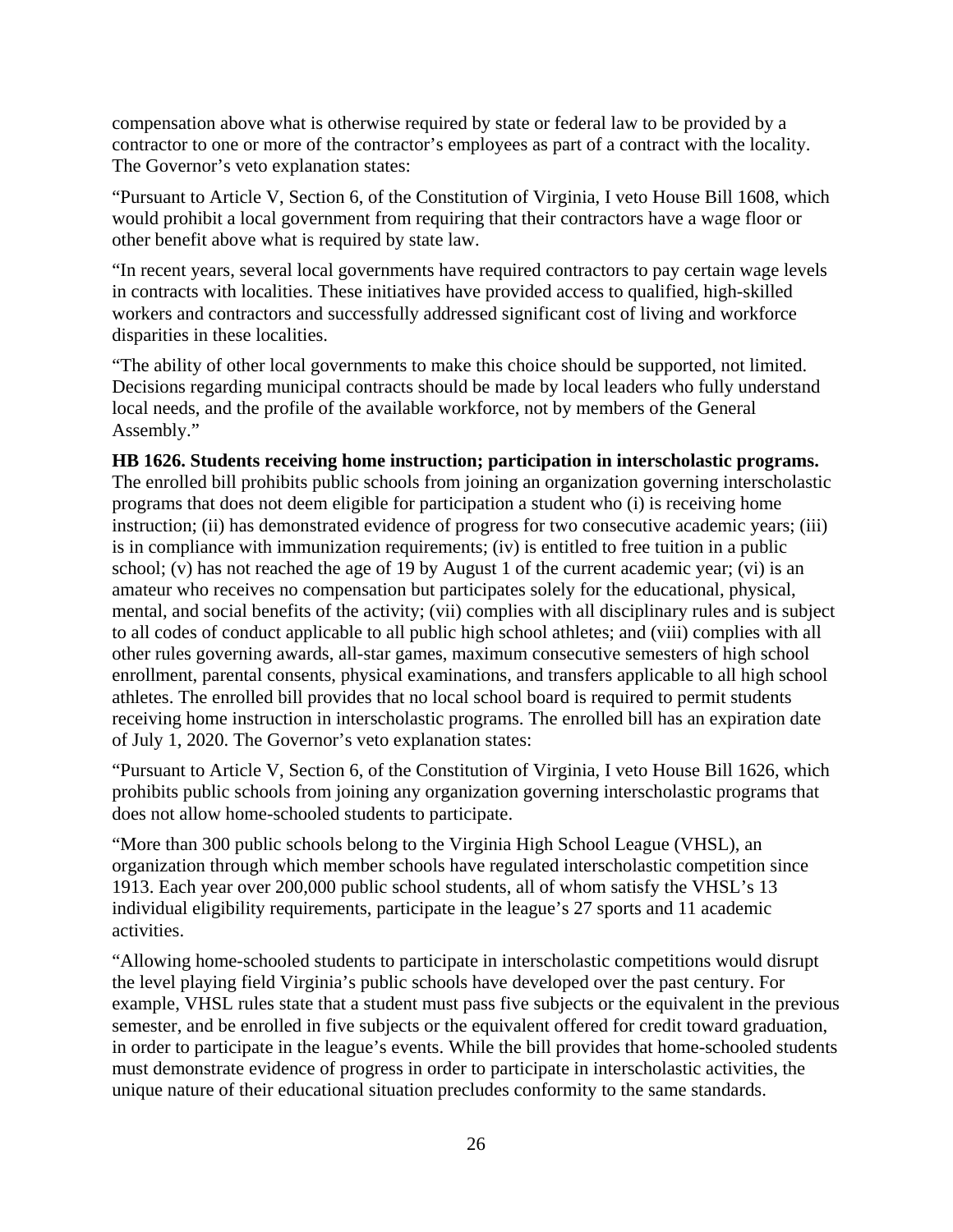compensation above what is otherwise required by state or federal law to be provided by a contractor to one or more of the contractor's employees as part of a contract with the locality. The Governor's veto explanation states:

"Pursuant to Article V, Section 6, of the Constitution of Virginia, I veto House Bill 1608, which would prohibit a local government from requiring that their contractors have a wage floor or other benefit above what is required by state law.

"In recent years, several local governments have required contractors to pay certain wage levels in contracts with localities. These initiatives have provided access to qualified, high-skilled workers and contractors and successfully addressed significant cost of living and workforce disparities in these localities.

"The ability of other local governments to make this choice should be supported, not limited. Decisions regarding municipal contracts should be made by local leaders who fully understand local needs, and the profile of the available workforce, not by members of the General Assembly."

#### **HB 1626. Students receiving home instruction; participation in interscholastic programs.**

The enrolled bill prohibits public schools from joining an organization governing interscholastic programs that does not deem eligible for participation a student who (i) is receiving home instruction; (ii) has demonstrated evidence of progress for two consecutive academic years; (iii) is in compliance with immunization requirements; (iv) is entitled to free tuition in a public school; (v) has not reached the age of 19 by August 1 of the current academic year; (vi) is an amateur who receives no compensation but participates solely for the educational, physical, mental, and social benefits of the activity; (vii) complies with all disciplinary rules and is subject to all codes of conduct applicable to all public high school athletes; and (viii) complies with all other rules governing awards, all-star games, maximum consecutive semesters of high school enrollment, parental consents, physical examinations, and transfers applicable to all high school athletes. The enrolled bill provides that no local school board is required to permit students receiving home instruction in interscholastic programs. The enrolled bill has an expiration date of July 1, 2020. The Governor's veto explanation states:

"Pursuant to Article V, Section 6, of the Constitution of Virginia, I veto House Bill 1626, which prohibits public schools from joining any organization governing interscholastic programs that does not allow home-schooled students to participate.

"More than 300 public schools belong to the Virginia High School League (VHSL), an organization through which member schools have regulated interscholastic competition since 1913. Each year over 200,000 public school students, all of whom satisfy the VHSL's 13 individual eligibility requirements, participate in the league's 27 sports and 11 academic activities.

"Allowing home-schooled students to participate in interscholastic competitions would disrupt the level playing field Virginia's public schools have developed over the past century. For example, VHSL rules state that a student must pass five subjects or the equivalent in the previous semester, and be enrolled in five subjects or the equivalent offered for credit toward graduation, in order to participate in the league's events. While the bill provides that home-schooled students must demonstrate evidence of progress in order to participate in interscholastic activities, the unique nature of their educational situation precludes conformity to the same standards.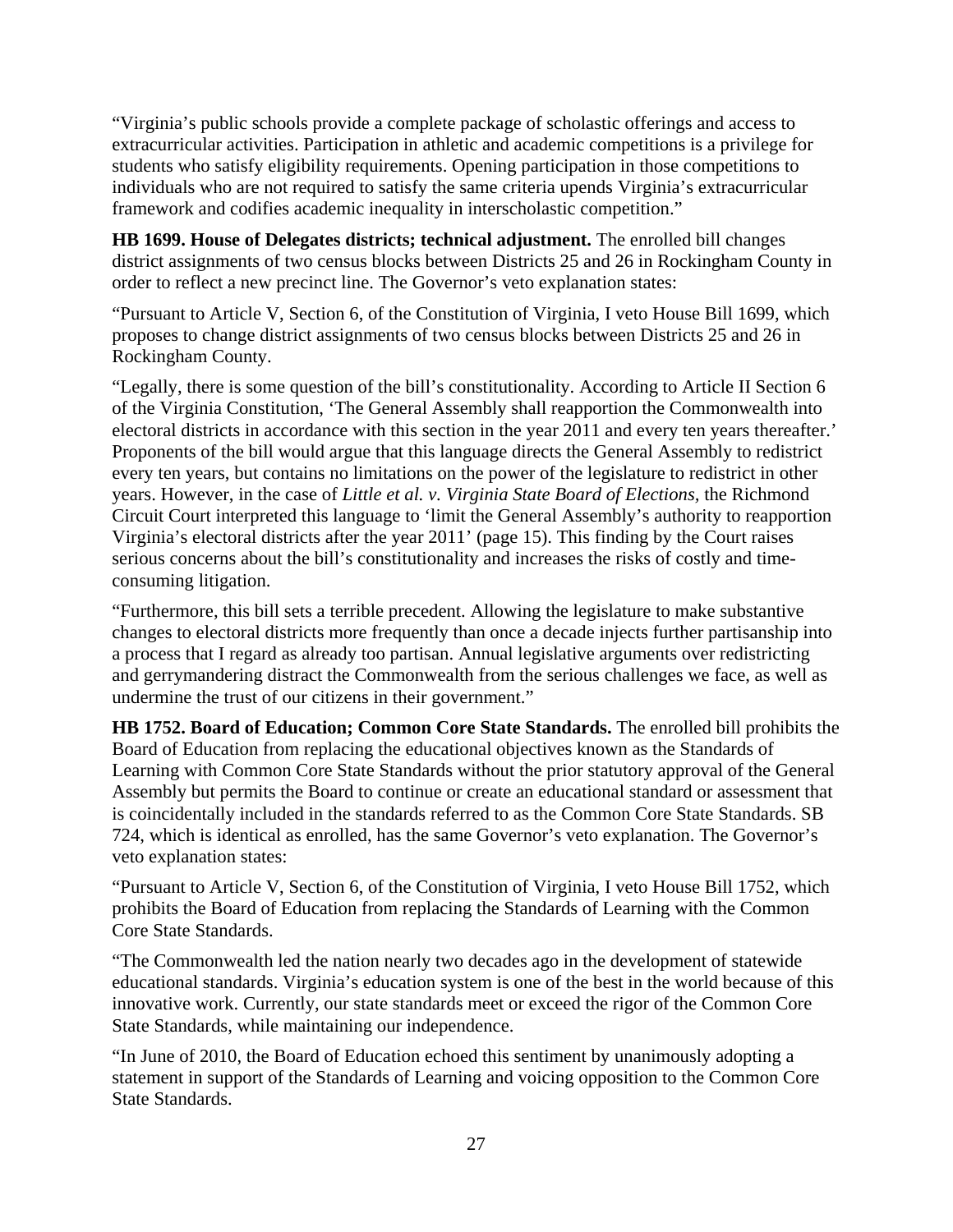"Virginia's public schools provide a complete package of scholastic offerings and access to extracurricular activities. Participation in athletic and academic competitions is a privilege for students who satisfy eligibility requirements. Opening participation in those competitions to individuals who are not required to satisfy the same criteria upends Virginia's extracurricular framework and codifies academic inequality in interscholastic competition."

**HB 1699. House of Delegates districts; technical adjustment.** The enrolled bill changes district assignments of two census blocks between Districts 25 and 26 in Rockingham County in order to reflect a new precinct line. The Governor's veto explanation states:

"Pursuant to Article V, Section 6, of the Constitution of Virginia, I veto House Bill 1699, which proposes to change district assignments of two census blocks between Districts 25 and 26 in Rockingham County.

"Legally, there is some question of the bill's constitutionality. According to Article II Section 6 of the Virginia Constitution, 'The General Assembly shall reapportion the Commonwealth into electoral districts in accordance with this section in the year 2011 and every ten years thereafter.' Proponents of the bill would argue that this language directs the General Assembly to redistrict every ten years, but contains no limitations on the power of the legislature to redistrict in other years. However, in the case of *Little et al. v. Virginia State Board of Elections,* the Richmond Circuit Court interpreted this language to 'limit the General Assembly's authority to reapportion Virginia's electoral districts after the year 2011' (page 15). This finding by the Court raises serious concerns about the bill's constitutionality and increases the risks of costly and timeconsuming litigation.

"Furthermore, this bill sets a terrible precedent. Allowing the legislature to make substantive changes to electoral districts more frequently than once a decade injects further partisanship into a process that I regard as already too partisan. Annual legislative arguments over redistricting and gerrymandering distract the Commonwealth from the serious challenges we face, as well as undermine the trust of our citizens in their government."

**HB 1752. Board of Education; Common Core State Standards.** The enrolled bill prohibits the Board of Education from replacing the educational objectives known as the Standards of Learning with Common Core State Standards without the prior statutory approval of the General Assembly but permits the Board to continue or create an educational standard or assessment that is coincidentally included in the standards referred to as the Common Core State Standards. SB 724, which is identical as enrolled, has the same Governor's veto explanation. The Governor's veto explanation states:

"Pursuant to Article V, Section 6, of the Constitution of Virginia, I veto House Bill 1752, which prohibits the Board of Education from replacing the Standards of Learning with the Common Core State Standards.

"The Commonwealth led the nation nearly two decades ago in the development of statewide educational standards. Virginia's education system is one of the best in the world because of this innovative work. Currently, our state standards meet or exceed the rigor of the Common Core State Standards, while maintaining our independence.

"In June of 2010, the Board of Education echoed this sentiment by unanimously adopting a statement in support of the Standards of Learning and voicing opposition to the Common Core State Standards.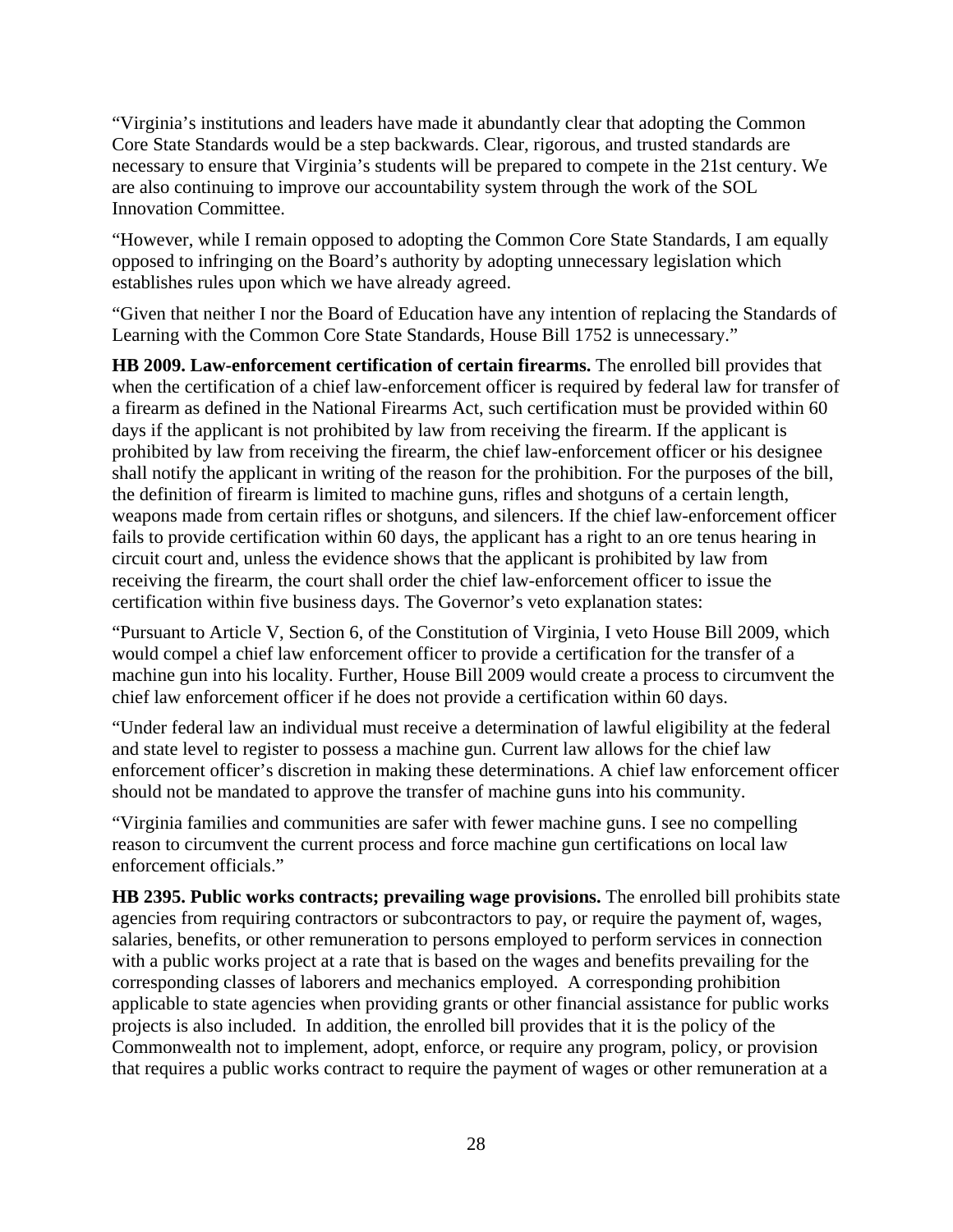"Virginia's institutions and leaders have made it abundantly clear that adopting the Common Core State Standards would be a step backwards. Clear, rigorous, and trusted standards are necessary to ensure that Virginia's students will be prepared to compete in the 21st century. We are also continuing to improve our accountability system through the work of the SOL Innovation Committee.

"However, while I remain opposed to adopting the Common Core State Standards, I am equally opposed to infringing on the Board's authority by adopting unnecessary legislation which establishes rules upon which we have already agreed.

"Given that neither I nor the Board of Education have any intention of replacing the Standards of Learning with the Common Core State Standards, House Bill 1752 is unnecessary."

**HB 2009. Law-enforcement certification of certain firearms.** The enrolled bill provides that when the certification of a chief law-enforcement officer is required by federal law for transfer of a firearm as defined in the National Firearms Act, such certification must be provided within 60 days if the applicant is not prohibited by law from receiving the firearm. If the applicant is prohibited by law from receiving the firearm, the chief law-enforcement officer or his designee shall notify the applicant in writing of the reason for the prohibition. For the purposes of the bill, the definition of firearm is limited to machine guns, rifles and shotguns of a certain length, weapons made from certain rifles or shotguns, and silencers. If the chief law-enforcement officer fails to provide certification within 60 days, the applicant has a right to an ore tenus hearing in circuit court and, unless the evidence shows that the applicant is prohibited by law from receiving the firearm, the court shall order the chief law-enforcement officer to issue the certification within five business days. The Governor's veto explanation states:

"Pursuant to Article V, Section 6, of the Constitution of Virginia, I veto House Bill 2009, which would compel a chief law enforcement officer to provide a certification for the transfer of a machine gun into his locality. Further, House Bill 2009 would create a process to circumvent the chief law enforcement officer if he does not provide a certification within 60 days.

"Under federal law an individual must receive a determination of lawful eligibility at the federal and state level to register to possess a machine gun. Current law allows for the chief law enforcement officer's discretion in making these determinations. A chief law enforcement officer should not be mandated to approve the transfer of machine guns into his community.

"Virginia families and communities are safer with fewer machine guns. I see no compelling reason to circumvent the current process and force machine gun certifications on local law enforcement officials."

**HB 2395. Public works contracts; prevailing wage provisions.** The enrolled bill prohibits state agencies from requiring contractors or subcontractors to pay, or require the payment of, wages, salaries, benefits, or other remuneration to persons employed to perform services in connection with a public works project at a rate that is based on the wages and benefits prevailing for the corresponding classes of laborers and mechanics employed. A corresponding prohibition applicable to state agencies when providing grants or other financial assistance for public works projects is also included. In addition, the enrolled bill provides that it is the policy of the Commonwealth not to implement, adopt, enforce, or require any program, policy, or provision that requires a public works contract to require the payment of wages or other remuneration at a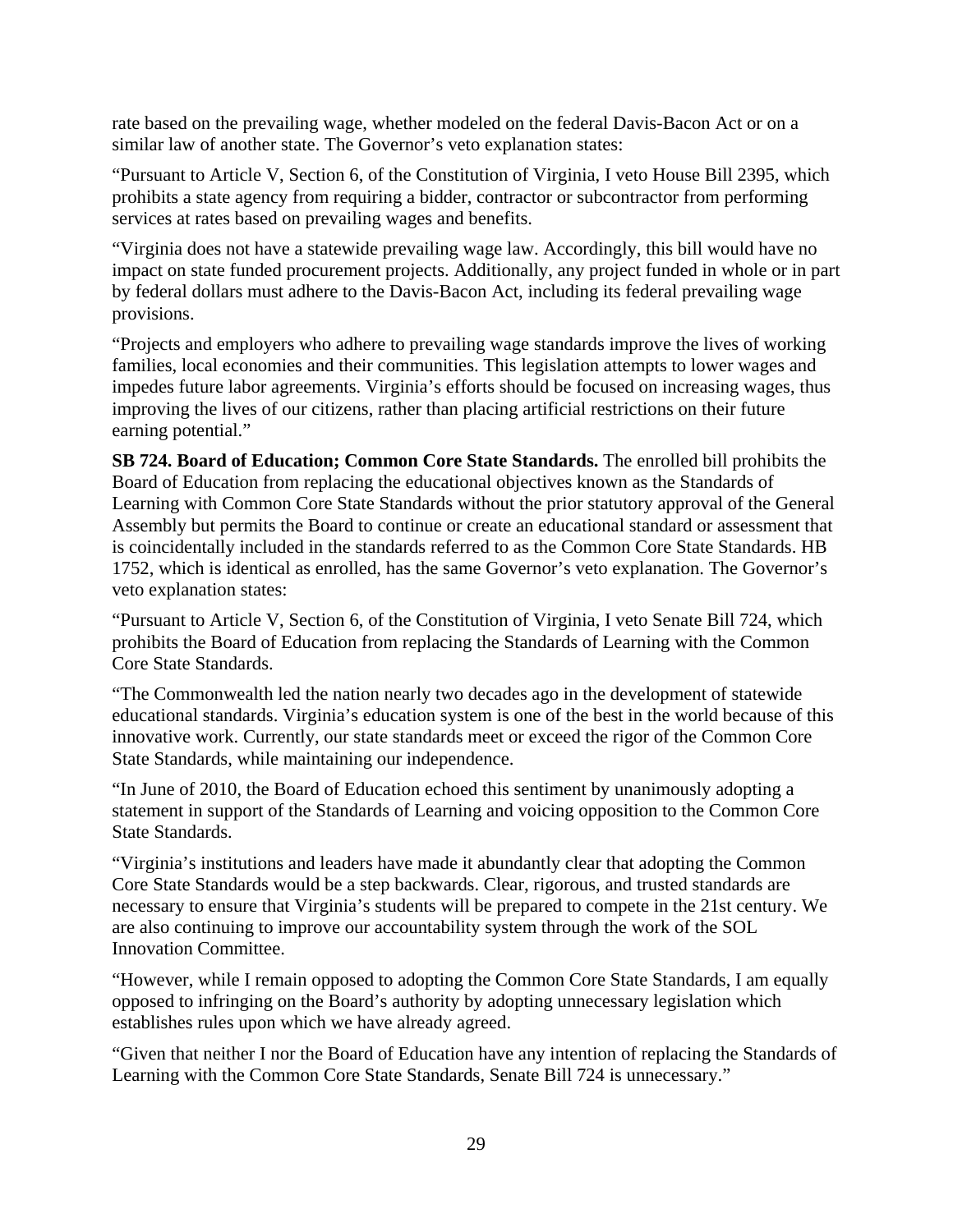rate based on the prevailing wage, whether modeled on the federal Davis-Bacon Act or on a similar law of another state. The Governor's veto explanation states:

"Pursuant to Article V, Section 6, of the Constitution of Virginia, I veto House Bill 2395, which prohibits a state agency from requiring a bidder, contractor or subcontractor from performing services at rates based on prevailing wages and benefits.

"Virginia does not have a statewide prevailing wage law. Accordingly, this bill would have no impact on state funded procurement projects. Additionally, any project funded in whole or in part by federal dollars must adhere to the Davis-Bacon Act, including its federal prevailing wage provisions.

"Projects and employers who adhere to prevailing wage standards improve the lives of working families, local economies and their communities. This legislation attempts to lower wages and impedes future labor agreements. Virginia's efforts should be focused on increasing wages, thus improving the lives of our citizens, rather than placing artificial restrictions on their future earning potential."

**SB 724. Board of Education; Common Core State Standards.** The enrolled bill prohibits the Board of Education from replacing the educational objectives known as the Standards of Learning with Common Core State Standards without the prior statutory approval of the General Assembly but permits the Board to continue or create an educational standard or assessment that is coincidentally included in the standards referred to as the Common Core State Standards. HB 1752, which is identical as enrolled, has the same Governor's veto explanation. The Governor's veto explanation states:

"Pursuant to Article V, Section 6, of the Constitution of Virginia, I veto Senate Bill 724, which prohibits the Board of Education from replacing the Standards of Learning with the Common Core State Standards.

"The Commonwealth led the nation nearly two decades ago in the development of statewide educational standards. Virginia's education system is one of the best in the world because of this innovative work. Currently, our state standards meet or exceed the rigor of the Common Core State Standards, while maintaining our independence.

"In June of 2010, the Board of Education echoed this sentiment by unanimously adopting a statement in support of the Standards of Learning and voicing opposition to the Common Core State Standards.

"Virginia's institutions and leaders have made it abundantly clear that adopting the Common Core State Standards would be a step backwards. Clear, rigorous, and trusted standards are necessary to ensure that Virginia's students will be prepared to compete in the 21st century. We are also continuing to improve our accountability system through the work of the SOL Innovation Committee.

"However, while I remain opposed to adopting the Common Core State Standards, I am equally opposed to infringing on the Board's authority by adopting unnecessary legislation which establishes rules upon which we have already agreed.

"Given that neither I nor the Board of Education have any intention of replacing the Standards of Learning with the Common Core State Standards, Senate Bill 724 is unnecessary."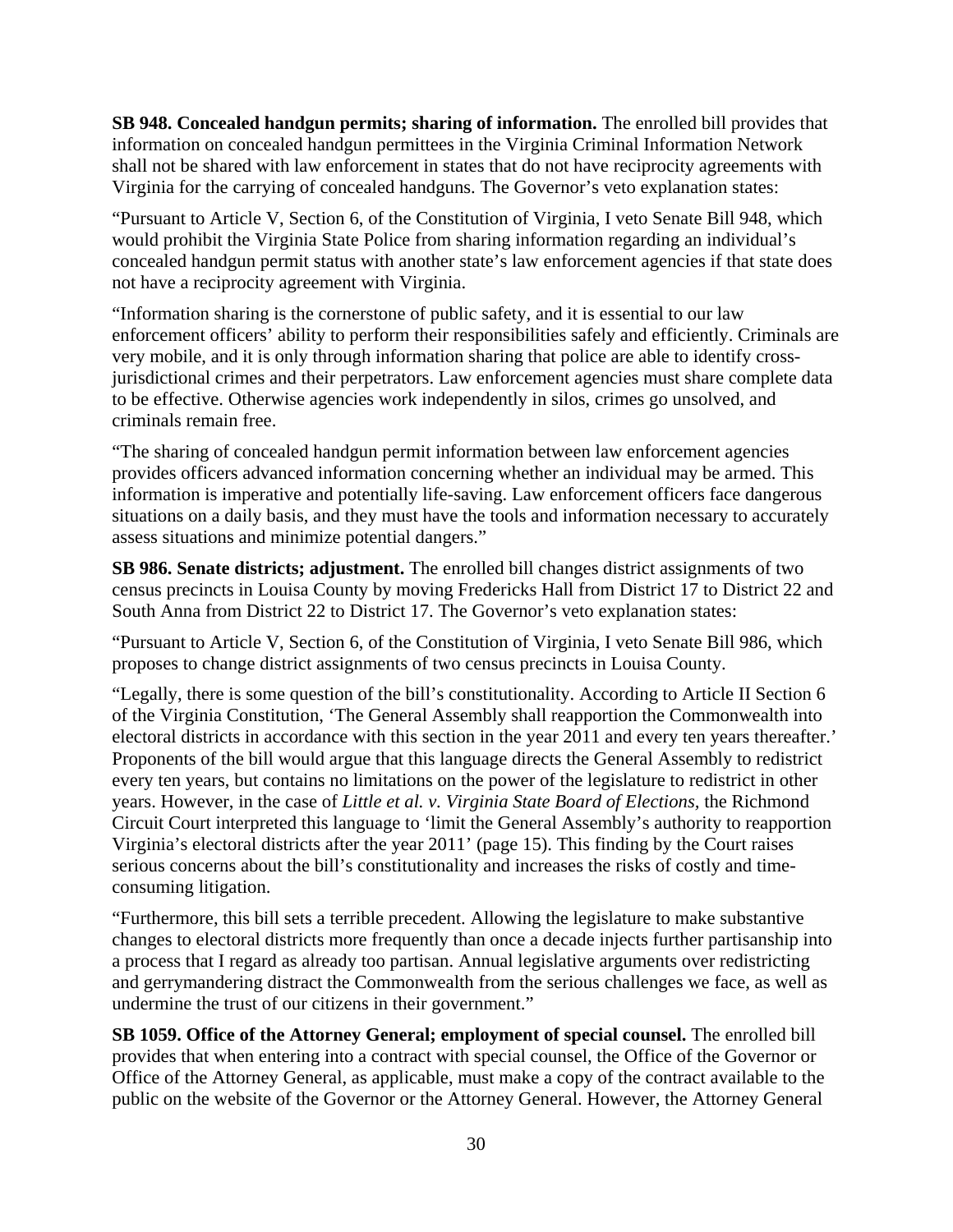**SB 948. Concealed handgun permits; sharing of information.** The enrolled bill provides that information on concealed handgun permittees in the Virginia Criminal Information Network shall not be shared with law enforcement in states that do not have reciprocity agreements with Virginia for the carrying of concealed handguns. The Governor's veto explanation states:

"Pursuant to Article V, Section 6, of the Constitution of Virginia, I veto Senate Bill 948, which would prohibit the Virginia State Police from sharing information regarding an individual's concealed handgun permit status with another state's law enforcement agencies if that state does not have a reciprocity agreement with Virginia.

"Information sharing is the cornerstone of public safety, and it is essential to our law enforcement officers' ability to perform their responsibilities safely and efficiently. Criminals are very mobile, and it is only through information sharing that police are able to identify crossjurisdictional crimes and their perpetrators. Law enforcement agencies must share complete data to be effective. Otherwise agencies work independently in silos, crimes go unsolved, and criminals remain free.

"The sharing of concealed handgun permit information between law enforcement agencies provides officers advanced information concerning whether an individual may be armed. This information is imperative and potentially life-saving. Law enforcement officers face dangerous situations on a daily basis, and they must have the tools and information necessary to accurately assess situations and minimize potential dangers."

**SB 986. Senate districts; adjustment.** The enrolled bill changes district assignments of two census precincts in Louisa County by moving Fredericks Hall from District 17 to District 22 and South Anna from District 22 to District 17. The Governor's veto explanation states:

"Pursuant to Article V, Section 6, of the Constitution of Virginia, I veto Senate Bill 986, which proposes to change district assignments of two census precincts in Louisa County.

"Legally, there is some question of the bill's constitutionality. According to Article II Section 6 of the Virginia Constitution, 'The General Assembly shall reapportion the Commonwealth into electoral districts in accordance with this section in the year 2011 and every ten years thereafter.' Proponents of the bill would argue that this language directs the General Assembly to redistrict every ten years, but contains no limitations on the power of the legislature to redistrict in other years. However, in the case of *Little et al. v. Virginia State Board of Elections,* the Richmond Circuit Court interpreted this language to 'limit the General Assembly's authority to reapportion Virginia's electoral districts after the year 2011' (page 15). This finding by the Court raises serious concerns about the bill's constitutionality and increases the risks of costly and timeconsuming litigation.

"Furthermore, this bill sets a terrible precedent. Allowing the legislature to make substantive changes to electoral districts more frequently than once a decade injects further partisanship into a process that I regard as already too partisan. Annual legislative arguments over redistricting and gerrymandering distract the Commonwealth from the serious challenges we face, as well as undermine the trust of our citizens in their government."

**SB 1059. Office of the Attorney General; employment of special counsel.** The enrolled bill provides that when entering into a contract with special counsel, the Office of the Governor or Office of the Attorney General, as applicable, must make a copy of the contract available to the public on the website of the Governor or the Attorney General. However, the Attorney General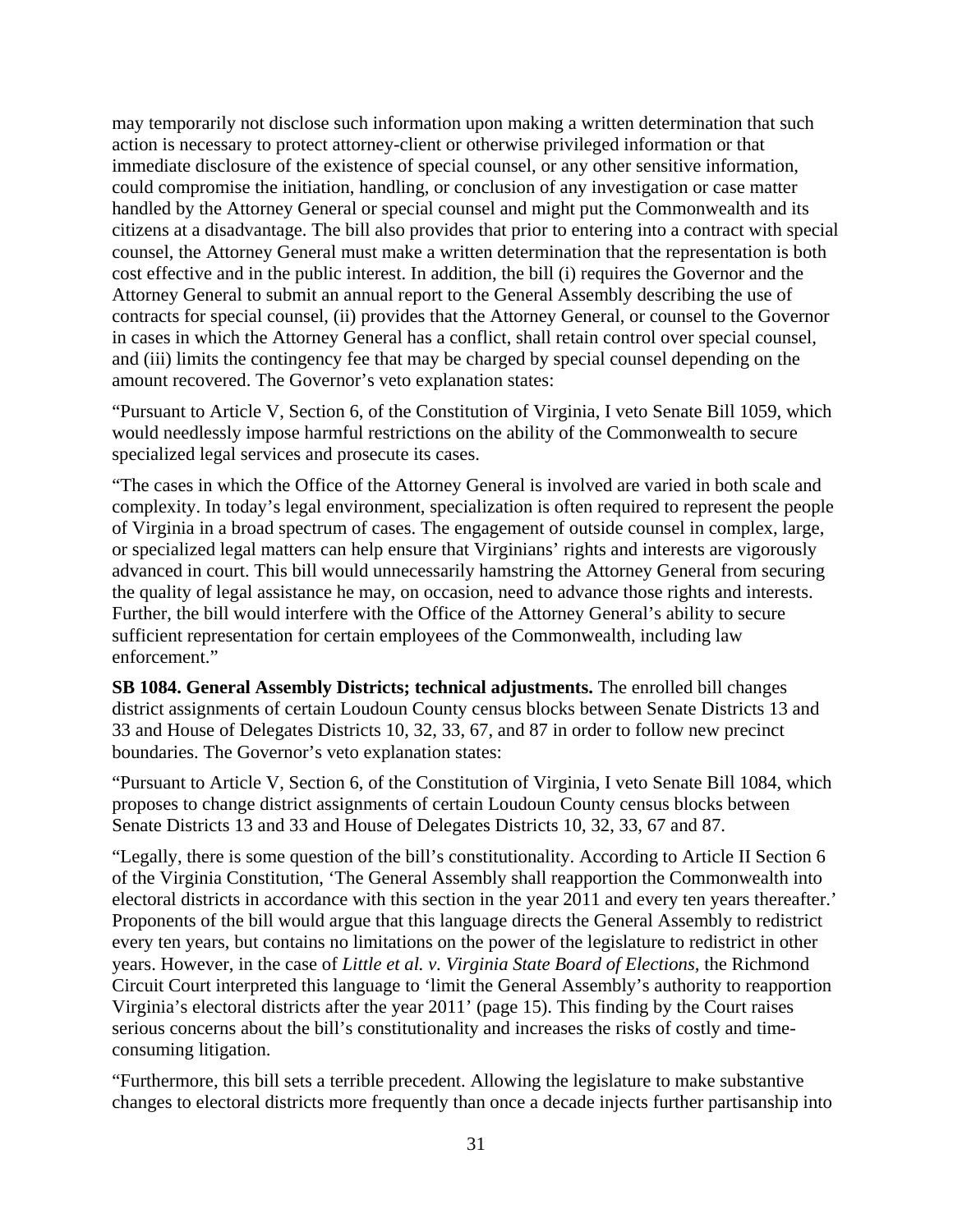may temporarily not disclose such information upon making a written determination that such action is necessary to protect attorney-client or otherwise privileged information or that immediate disclosure of the existence of special counsel, or any other sensitive information, could compromise the initiation, handling, or conclusion of any investigation or case matter handled by the Attorney General or special counsel and might put the Commonwealth and its citizens at a disadvantage. The bill also provides that prior to entering into a contract with special counsel, the Attorney General must make a written determination that the representation is both cost effective and in the public interest. In addition, the bill (i) requires the Governor and the Attorney General to submit an annual report to the General Assembly describing the use of contracts for special counsel, (ii) provides that the Attorney General, or counsel to the Governor in cases in which the Attorney General has a conflict, shall retain control over special counsel, and (iii) limits the contingency fee that may be charged by special counsel depending on the amount recovered. The Governor's veto explanation states:

"Pursuant to Article V, Section 6, of the Constitution of Virginia, I veto Senate Bill 1059, which would needlessly impose harmful restrictions on the ability of the Commonwealth to secure specialized legal services and prosecute its cases.

"The cases in which the Office of the Attorney General is involved are varied in both scale and complexity. In today's legal environment, specialization is often required to represent the people of Virginia in a broad spectrum of cases. The engagement of outside counsel in complex, large, or specialized legal matters can help ensure that Virginians' rights and interests are vigorously advanced in court. This bill would unnecessarily hamstring the Attorney General from securing the quality of legal assistance he may, on occasion, need to advance those rights and interests. Further, the bill would interfere with the Office of the Attorney General's ability to secure sufficient representation for certain employees of the Commonwealth, including law enforcement."

**SB 1084. General Assembly Districts; technical adjustments.** The enrolled bill changes district assignments of certain Loudoun County census blocks between Senate Districts 13 and 33 and House of Delegates Districts 10, 32, 33, 67, and 87 in order to follow new precinct boundaries. The Governor's veto explanation states:

"Pursuant to Article V, Section 6, of the Constitution of Virginia, I veto Senate Bill 1084, which proposes to change district assignments of certain Loudoun County census blocks between Senate Districts 13 and 33 and House of Delegates Districts 10, 32, 33, 67 and 87.

"Legally, there is some question of the bill's constitutionality. According to Article II Section 6 of the Virginia Constitution, 'The General Assembly shall reapportion the Commonwealth into electoral districts in accordance with this section in the year 2011 and every ten years thereafter.' Proponents of the bill would argue that this language directs the General Assembly to redistrict every ten years, but contains no limitations on the power of the legislature to redistrict in other years. However, in the case of *Little et al. v. Virginia State Board of Elections,* the Richmond Circuit Court interpreted this language to 'limit the General Assembly's authority to reapportion Virginia's electoral districts after the year 2011' (page 15). This finding by the Court raises serious concerns about the bill's constitutionality and increases the risks of costly and timeconsuming litigation.

"Furthermore, this bill sets a terrible precedent. Allowing the legislature to make substantive changes to electoral districts more frequently than once a decade injects further partisanship into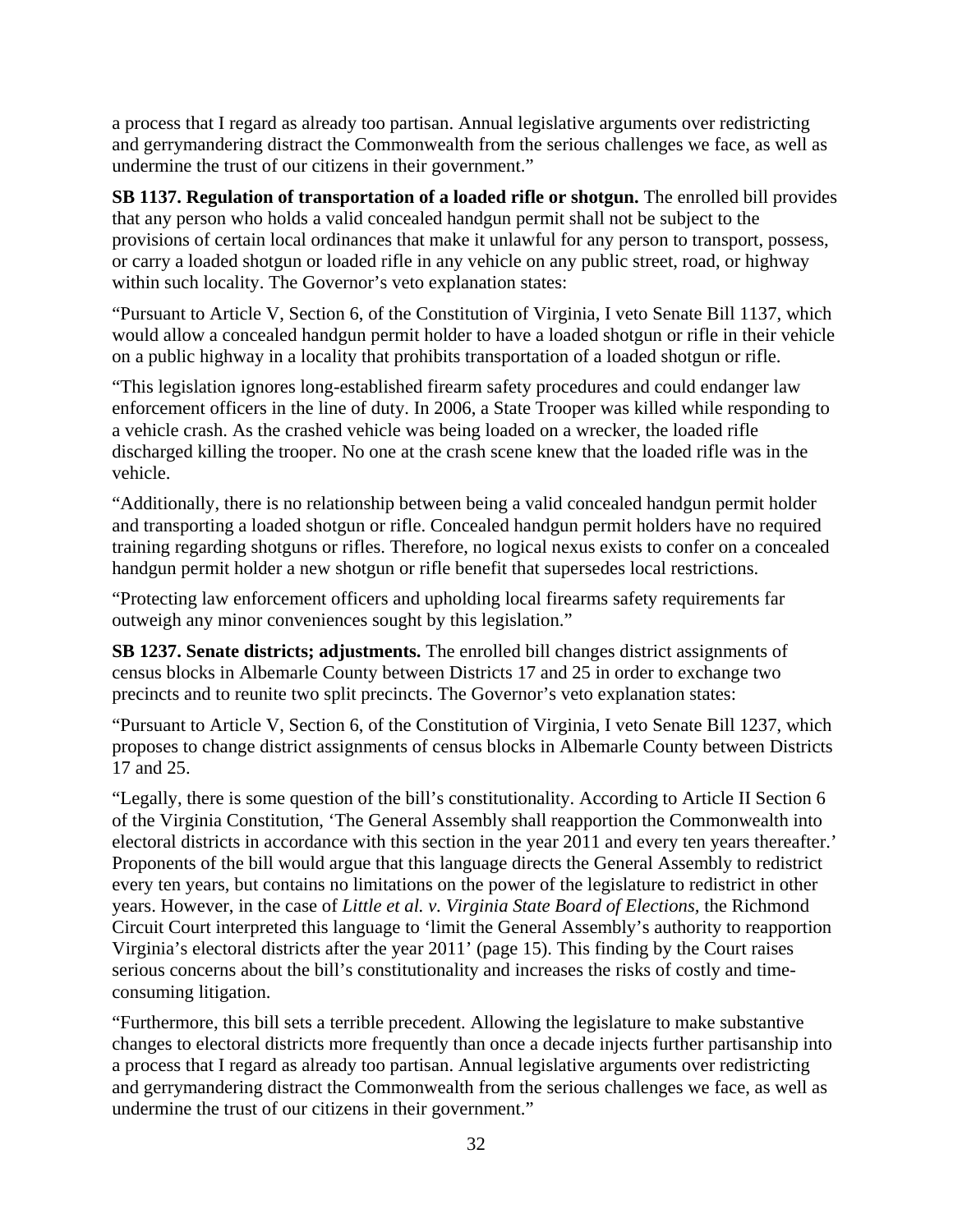a process that I regard as already too partisan. Annual legislative arguments over redistricting and gerrymandering distract the Commonwealth from the serious challenges we face, as well as undermine the trust of our citizens in their government."

**SB 1137. Regulation of transportation of a loaded rifle or shotgun.** The enrolled bill provides that any person who holds a valid concealed handgun permit shall not be subject to the provisions of certain local ordinances that make it unlawful for any person to transport, possess, or carry a loaded shotgun or loaded rifle in any vehicle on any public street, road, or highway within such locality. The Governor's veto explanation states:

"Pursuant to Article V, Section 6, of the Constitution of Virginia, I veto Senate Bill 1137, which would allow a concealed handgun permit holder to have a loaded shotgun or rifle in their vehicle on a public highway in a locality that prohibits transportation of a loaded shotgun or rifle.

"This legislation ignores long-established firearm safety procedures and could endanger law enforcement officers in the line of duty. In 2006, a State Trooper was killed while responding to a vehicle crash. As the crashed vehicle was being loaded on a wrecker, the loaded rifle discharged killing the trooper. No one at the crash scene knew that the loaded rifle was in the vehicle.

"Additionally, there is no relationship between being a valid concealed handgun permit holder and transporting a loaded shotgun or rifle. Concealed handgun permit holders have no required training regarding shotguns or rifles. Therefore, no logical nexus exists to confer on a concealed handgun permit holder a new shotgun or rifle benefit that supersedes local restrictions.

"Protecting law enforcement officers and upholding local firearms safety requirements far outweigh any minor conveniences sought by this legislation."

**SB 1237. Senate districts; adjustments.** The enrolled bill changes district assignments of census blocks in Albemarle County between Districts 17 and 25 in order to exchange two precincts and to reunite two split precincts. The Governor's veto explanation states:

"Pursuant to Article V, Section 6, of the Constitution of Virginia, I veto Senate Bill 1237, which proposes to change district assignments of census blocks in Albemarle County between Districts 17 and 25.

"Legally, there is some question of the bill's constitutionality. According to Article II Section 6 of the Virginia Constitution, 'The General Assembly shall reapportion the Commonwealth into electoral districts in accordance with this section in the year 2011 and every ten years thereafter.' Proponents of the bill would argue that this language directs the General Assembly to redistrict every ten years, but contains no limitations on the power of the legislature to redistrict in other years. However, in the case of *Little et al. v. Virginia State Board of Elections,* the Richmond Circuit Court interpreted this language to 'limit the General Assembly's authority to reapportion Virginia's electoral districts after the year 2011' (page 15). This finding by the Court raises serious concerns about the bill's constitutionality and increases the risks of costly and timeconsuming litigation.

"Furthermore, this bill sets a terrible precedent. Allowing the legislature to make substantive changes to electoral districts more frequently than once a decade injects further partisanship into a process that I regard as already too partisan. Annual legislative arguments over redistricting and gerrymandering distract the Commonwealth from the serious challenges we face, as well as undermine the trust of our citizens in their government."